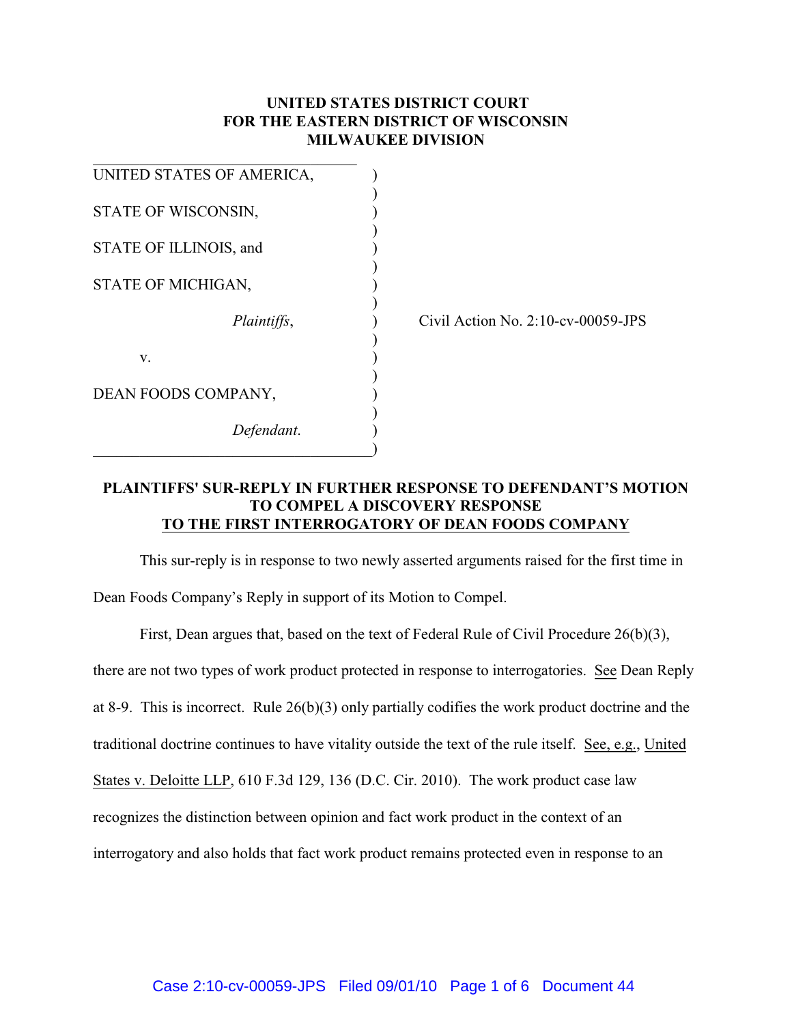# **UNITED STATES DISTRICT COURT FOR THE EASTERN DISTRICT OF WISCONSIN MILWAUKEE DIVISION**

| UNITED STATES OF AMERICA, |  |
|---------------------------|--|
| STATE OF WISCONSIN,       |  |
| STATE OF ILLINOIS, and    |  |
| STATE OF MICHIGAN,        |  |
| Plaintiffs,               |  |
| v.                        |  |
| DEAN FOODS COMPANY,       |  |
|                           |  |
| Defendant.                |  |

) Civil Action No. 2:10-cv-00059-JPS

# **PLAINTIFFS' SUR-REPLY IN FURTHER RESPONSE TO DEFENDANT'S MOTION TO COMPEL A DISCOVERY RESPONSE TO THE FIRST INTERROGATORY OF DEAN FOODS COMPANY**

This sur-reply is in response to two newly asserted arguments raised for the first time in Dean Foods Company's Reply in support of its Motion to Compel.

First, Dean argues that, based on the text of Federal Rule of Civil Procedure 26(b)(3), there are not two types of work product protected in response to interrogatories. See Dean Reply at 8-9. This is incorrect. Rule  $26(b)(3)$  only partially codifies the work product doctrine and the traditional doctrine continues to have vitality outside the text of the rule itself. See, e.g., United States v. Deloitte LLP, 610 F.3d 129, 136 (D.C. Cir. 2010). The work product case law recognizes the distinction between opinion and fact work product in the context of an interrogatory and also holds that fact work product remains protected even in response to an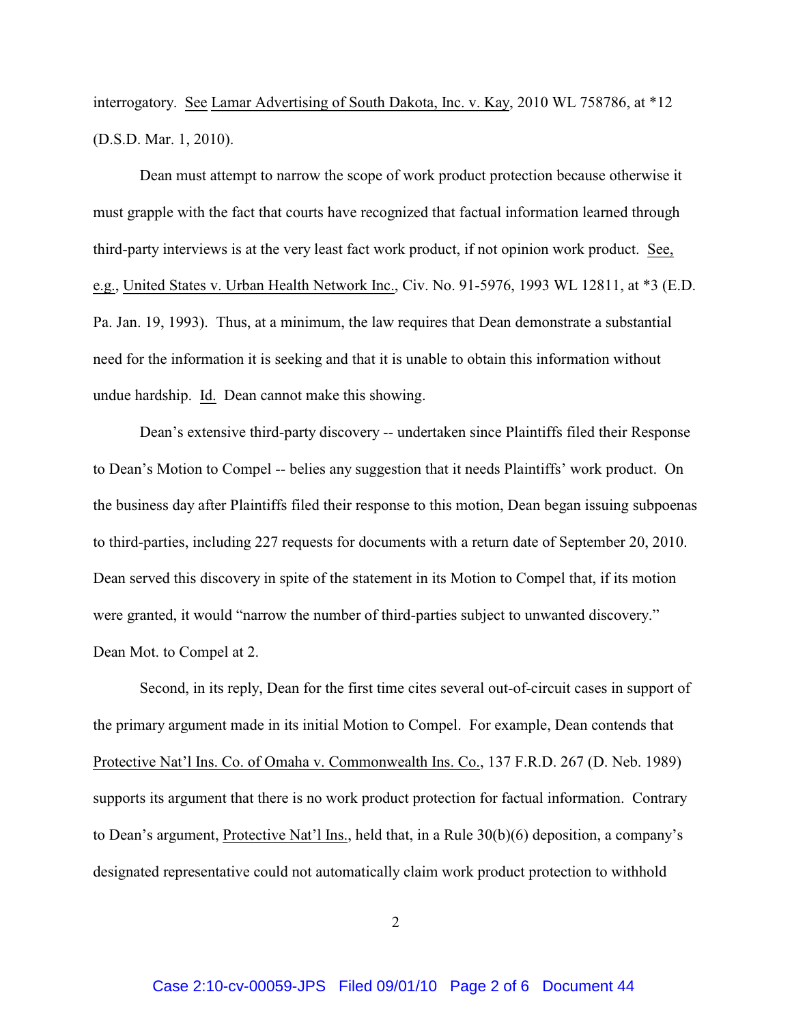interrogatory. See Lamar Advertising of South Dakota, Inc. v. Kay, 2010 WL 758786, at \*12 (D.S.D. Mar. 1, 2010).

Dean must attempt to narrow the scope of work product protection because otherwise it must grapple with the fact that courts have recognized that factual information learned through third-party interviews is at the very least fact work product, if not opinion work product. See, e.g., United States v. Urban Health Network Inc., Civ. No. 91-5976, 1993 WL 12811, at \*3 (E.D. Pa. Jan. 19, 1993). Thus, at a minimum, the law requires that Dean demonstrate a substantial need for the information it is seeking and that it is unable to obtain this information without undue hardship. Id. Dean cannot make this showing.

Dean's extensive third-party discovery -- undertaken since Plaintiffs filed their Response to Dean's Motion to Compel -- belies any suggestion that it needs Plaintiffs' work product. On the business day after Plaintiffs filed their response to this motion, Dean began issuing subpoenas to third-parties, including 227 requests for documents with a return date of September 20, 2010. Dean served this discovery in spite of the statement in its Motion to Compel that, if its motion were granted, it would "narrow the number of third-parties subject to unwanted discovery." Dean Mot. to Compel at 2.

Second, in its reply, Dean for the first time cites several out-of-circuit cases in support of the primary argument made in its initial Motion to Compel. For example, Dean contends that Protective Nat'l Ins. Co. of Omaha v. Commonwealth Ins. Co., 137 F.R.D. 267 (D. Neb. 1989) supports its argument that there is no work product protection for factual information. Contrary to Dean's argument, Protective Nat'l Ins., held that, in a Rule 30(b)(6) deposition, a company's designated representative could not automatically claim work product protection to withhold

2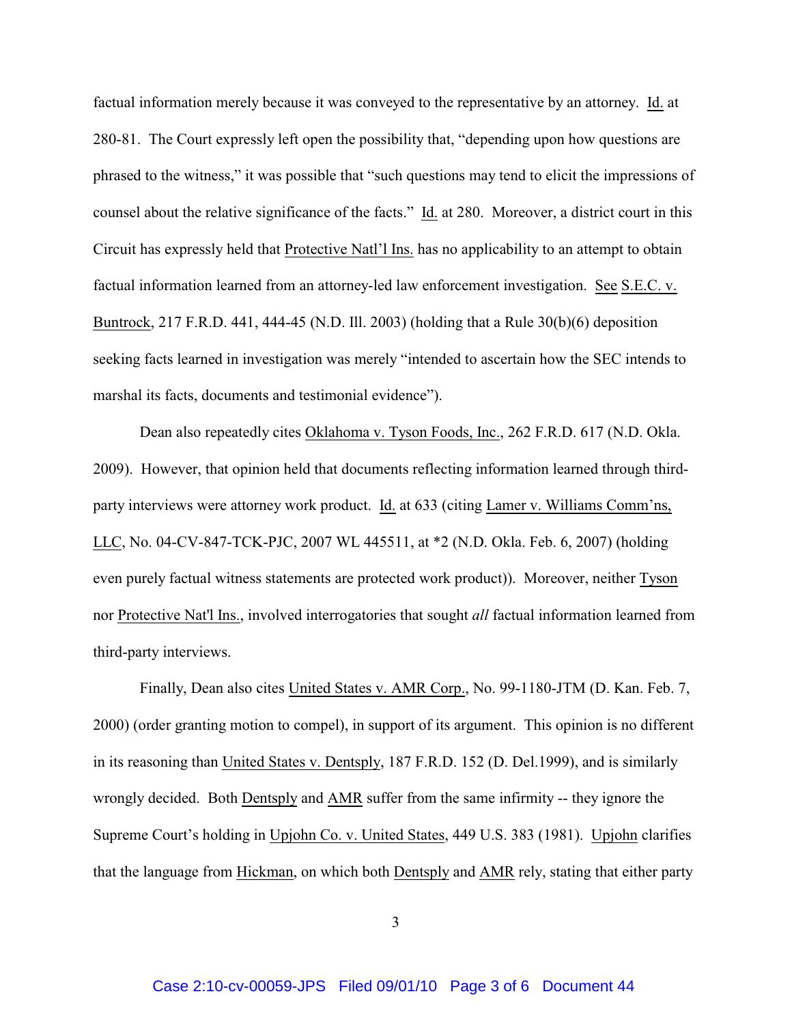factual information merely because it was conveyed to the representative by an attorney. Id. at 280-81. The Court expressly left open the possibility that, "depending upon how questions are phrased to the witness," it was possible that "such questions may tend to elicit the impressions of counsel about the relative significance of the facts." Id. at 280. Moreover, a district court in this Circuit has expressly held that Protective Natl'l Ins. has no applicability to an attempt to obtain factual information learned from an attorney-led law enforcement investigation. See S.E.C. v. Buntrock, 217 F.R.D. 441, 444-45 (N.D. Ill. 2003) (holding that a Rule 30(b)(6) deposition seeking facts learned in investigation was merely "intended to ascertain how the SEC intends to marshal its facts, documents and testimonial evidence").

Dean also repeatedly cites Oklahoma v. Tyson Foods, Inc., 262 F.R.D. 617 (N.D. Okla. 2009). However, that opinion held that documents reflecting information learned through thirdparty interviews were attorney work product. Id. at 633 (citing Lamer v. Williams Comm'ns, LLC, No. 04-CV-847-TCK-PJC, 2007 WL 445511, at \*2 (N.D. Okla. Feb. 6, 2007) (holding even purely factual witness statements are protected work product)). Moreover, neither Tyson nor Protective Nat'l Ins., involved interrogatories that sought *all* factual information learned from third-party interviews.

Finally, Dean also cites United States v. AMR Corp., No. 99-1180-JTM (D. Kan. Feb. 7, 2000) (order granting motion to compel), in support of its argument. This opinion is no different in its reasoning than United States v. Dentsply, 187 F.R.D. 152 (D. Del.1999), and is similarly wrongly decided. Both Dentsply and AMR suffer from the same infirmity -- they ignore the Supreme Court's holding in Upjohn Co. v. United States, 449 U.S. 383 (1981). Upjohn clarifies that the language from Hickman, on which both Dentsply and AMR rely, stating that either party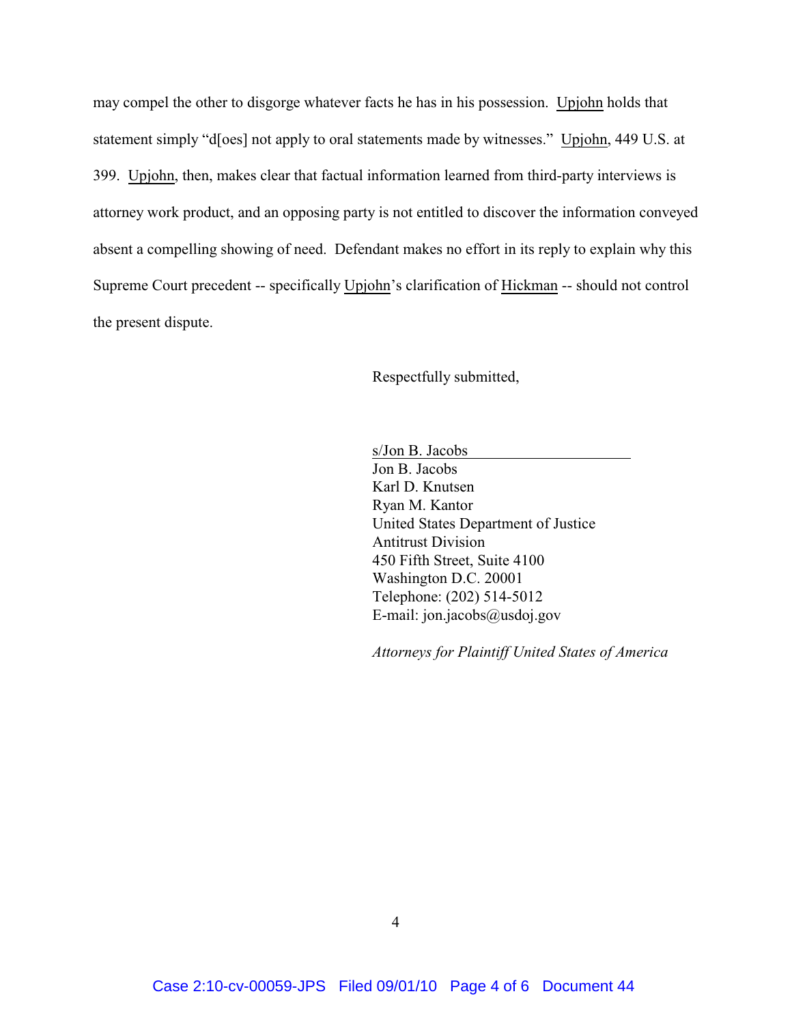may compel the other to disgorge whatever facts he has in his possession. Upjohn holds that statement simply "d[oes] not apply to oral statements made by witnesses." Upjohn, 449 U.S. at 399. Upjohn, then, makes clear that factual information learned from third-party interviews is attorney work product, and an opposing party is not entitled to discover the information conveyed absent a compelling showing of need. Defendant makes no effort in its reply to explain why this Supreme Court precedent -- specifically Upjohn's clarification of Hickman -- should not control the present dispute.

Respectfully submitted,

s/Jon B. Jacobs Jon B. Jacobs Karl D. Knutsen Ryan M. Kantor United States Department of Justice Antitrust Division 450 Fifth Street, Suite 4100 Washington D.C. 20001 Telephone: (202) 514-5012 E-mail: jon.jacobs@usdoj.gov

*Attorneys for Plaintiff United States of America*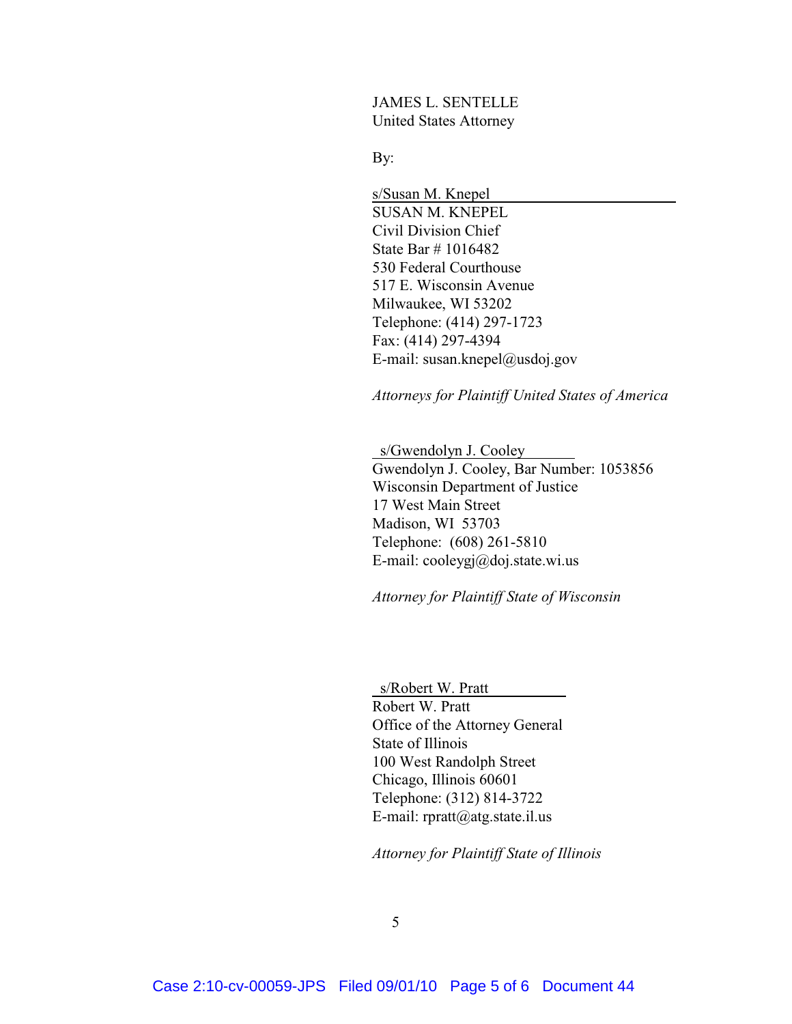# JAMES L. SENTELLE United States Attorney

By:

s/Susan M. Knepel SUSAN M. KNEPEL Civil Division Chief State Bar # 1016482 530 Federal Courthouse 517 E. Wisconsin Avenue Milwaukee, WI 53202 Telephone: (414) 297-1723 Fax: (414) 297-4394 E-mail: susan.knepel@usdoj.gov

*Attorneys for Plaintiff United States of America*

s/Gwendolyn J. Cooley Gwendolyn J. Cooley, Bar Number: 1053856 Wisconsin Department of Justice 17 West Main Street Madison, WI 53703 Telephone: (608) 261-5810 E-mail: cooleygj@doj.state.wi.us

*Attorney for Plaintiff State of Wisconsin*

s/Robert W. Pratt

Robert W. Pratt Office of the Attorney General State of Illinois 100 West Randolph Street Chicago, Illinois 60601 Telephone: (312) 814-3722 E-mail: rpratt@atg.state.il.us

*Attorney for Plaintiff State of Illinois*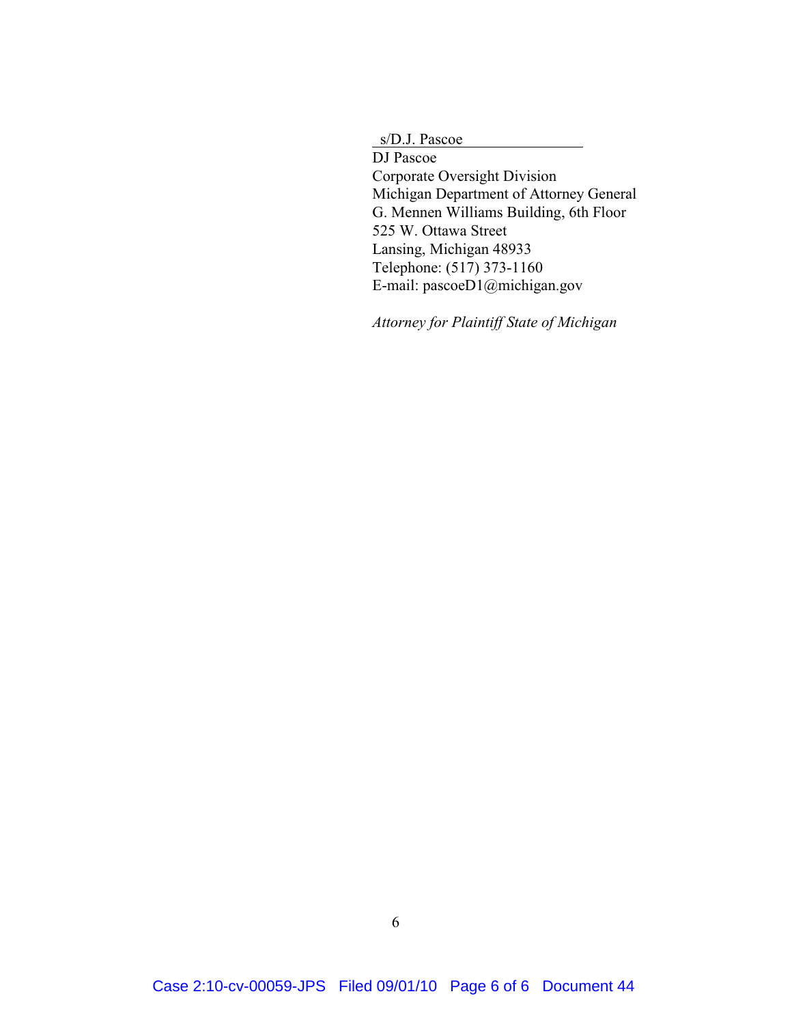s/D.J. Pascoe

DJ Pascoe Corporate Oversight Division Michigan Department of Attorney General G. Mennen Williams Building, 6th Floor 525 W. Ottawa Street Lansing, Michigan 48933 Telephone: (517) 373-1160 E-mail: pascoeD1@michigan.gov

*Attorney for Plaintiff State of Michigan*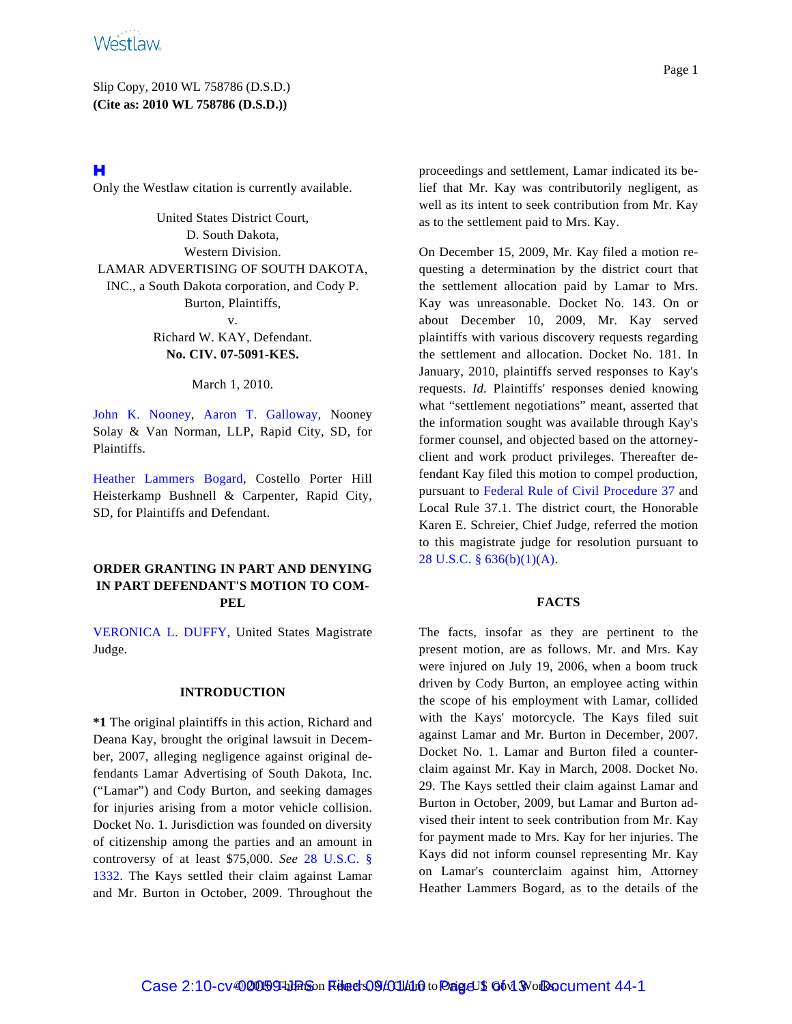Slip Copy, 2010 WL 758786 (D.S.D.) **(Cite as: 2010 WL 758786 (D.S.D.))** 

## н

Only the Westlaw citation is currently available.

United States District Court, D. South Dakota, Western Division. LAMAR ADVERTISING OF SOUTH DAKOTA, INC., a South Dakota corporation, and Cody P. Burton, Plaintiffs, v. Richard W. KAY, Defendant. **No. CIV. 07-5091-KES.** 

March 1, 2010.

John K. Nooney, Aaron T. Galloway, Nooney Solay & Van Norman, LLP, Rapid City, SD, for Plaintiffs.

Heather Lammers Bogard, Costello Porter Hill Heisterkamp Bushnell & Carpenter, Rapid City, SD, for Plaintiffs and Defendant.

## **ORDER GRANTING IN PART AND DENYING IN PART DEFENDANT'S MOTION TO COM-PEL**

VERONICA L. DUFFY, United States Magistrate Judge.

#### **INTRODUCTION**

**\*1** The original plaintiffs in this action, Richard and Deana Kay, brought the original lawsuit in December, 2007, alleging negligence against original defendants Lamar Advertising of South Dakota, Inc. ("Lamar") and Cody Burton, and seeking damages for injuries arising from a motor vehicle collision. Docket No. 1. Jurisdiction was founded on diversity of citizenship among the parties and an amount in controversy of at least \$75,000. *See* 28 U.S.C. § 1332. The Kays settled their claim against Lamar and Mr. Burton in October, 2009. Throughout the proceedings and settlement, Lamar indicated its belief that Mr. Kay was contributorily negligent, as well as its intent to seek contribution from Mr. Kay as to the settlement paid to Mrs. Kay.

On December 15, 2009, Mr. Kay filed a motion requesting a determination by the district court that the settlement allocation paid by Lamar to Mrs. Kay was unreasonable. Docket No. 143. On or about December 10, 2009, Mr. Kay served plaintiffs with various discovery requests regarding the settlement and allocation. Docket No. 181. In January, 2010, plaintiffs served responses to Kay's requests. *Id.* Plaintiffs' responses denied knowing what "settlement negotiations" meant, asserted that the information sought was available through Kay's former counsel, and objected based on the attorneyclient and work product privileges. Thereafter defendant Kay filed this motion to compel production, pursuant to Federal Rule of Civil Procedure 37 and Local Rule 37.1. The district court, the Honorable Karen E. Schreier, Chief Judge, referred the motion to this magistrate judge for resolution pursuant to 28 U.S.C. § 636(b)(1)(A).

### **FACTS**

The facts, insofar as they are pertinent to the present motion, are as follows. Mr. and Mrs. Kay were injured on July 19, 2006, when a boom truck driven by Cody Burton, an employee acting within the scope of his employment with Lamar, collided with the Kays' motorcycle. The Kays filed suit against Lamar and Mr. Burton in December, 2007. Docket No. 1. Lamar and Burton filed a counterclaim against Mr. Kay in March, 2008. Docket No. 29. The Kays settled their claim against Lamar and Burton in October, 2009, but Lamar and Burton advised their intent to seek contribution from Mr. Kay for payment made to Mrs. Kay for her injuries. The Kays did not inform counsel representing Mr. Kay on Lamar's counterclaim against him, Attorney Heather Lammers Bogard, as to the details of the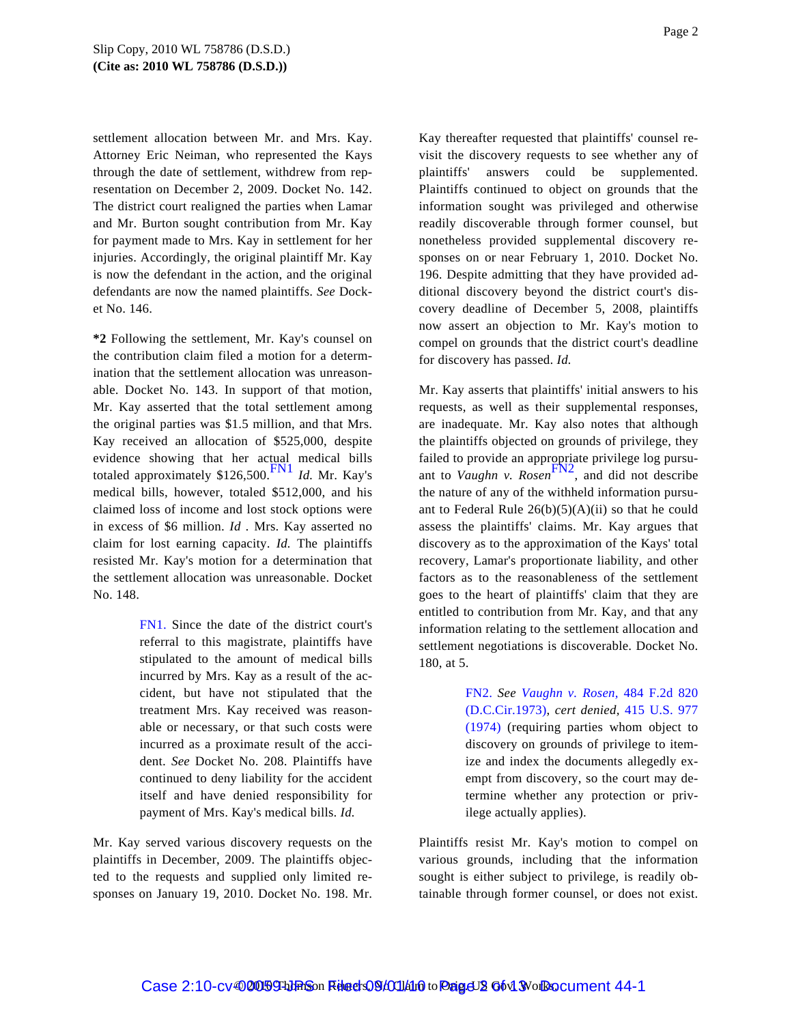settlement allocation between Mr. and Mrs. Kay. Attorney Eric Neiman, who represented the Kays through the date of settlement, withdrew from representation on December 2, 2009. Docket No. 142. The district court realigned the parties when Lamar and Mr. Burton sought contribution from Mr. Kay for payment made to Mrs. Kay in settlement for her injuries. Accordingly, the original plaintiff Mr. Kay is now the defendant in the action, and the original defendants are now the named plaintiffs. *See* Docket No. 146.

<span id="page-7-1"></span>**\*2** Following the settlement, Mr. Kay's counsel on the contribution claim filed a motion for a determination that the settlement allocation was unreasonable. Docket No. 143. In support of that motion, Mr. Kay asserted that the total settlement among the original parties was \$1.5 million, and that Mrs. Kay received an allocation of \$525,000, despite evidence showing that her actual medical bills totaled approximately \$126,500. *IN1 td. Mr. Kay's* medical bills, however, totaled \$512,000, and his claimed loss of income and lost stock options were in excess of \$6 million. *Id .* Mrs. Kay asserted no claim for lost earning capacity. *Id.* The plaintiffs resisted Mr. Kay's motion for a determination that the settlement allocation was unreasonable. Docket No. 148.

> <span id="page-7-2"></span><span id="page-7-0"></span>[FN1.](#page-7-1) Since the date of the district court's referral to this magistrate, plaintiffs have stipulated to the amount of medical bills incurred by Mrs. Kay as a result of the accident, but have not stipulated that the treatment Mrs. Kay received was reasonable or necessary, or that such costs were incurred as a proximate result of the accident. *See* Docket No. 208. Plaintiffs have continued to deny liability for the accident itself and have denied responsibility for payment of Mrs. Kay's medical bills. *Id.*

Mr. Kay served various discovery requests on the plaintiffs in December, 2009. The plaintiffs objected to the requests and supplied only limited responses on January 19, 2010. Docket No. 198. Mr. Kay thereafter requested that plaintiffs' counsel revisit the discovery requests to see whether any of plaintiffs' answers could be supplemented. Plaintiffs continued to object on grounds that the information sought was privileged and otherwise readily discoverable through former counsel, but nonetheless provided supplemental discovery responses on or near February 1, 2010. Docket No. 196. Despite admitting that they have provided additional discovery beyond the district court's discovery deadline of December 5, 2008, plaintiffs now assert an objection to Mr. Kay's motion to compel on grounds that the district court's deadline for discovery has passed. *Id.* 

Mr. Kay asserts that plaintiffs' initial answers to his requests, as well as their supplemental responses, are inadequate. Mr. Kay also notes that although the plaintiffs objected on grounds of privilege, they failed to provide an appropriate privilege log pursu-<br>ant to *Vaughn v. [Rosen](#page-7-2)*<sup>FN2</sup>, and did not describe the nature of any of the withheld information pursuant to Federal Rule  $26(b)(5)(A)(ii)$  so that he could assess the plaintiffs' claims. Mr. Kay argues that discovery as to the approximation of the Kays' total recovery, Lamar's proportionate liability, and other factors as to the reasonableness of the settlement goes to the heart of plaintiffs' claim that they are entitled to contribution from Mr. Kay, and that any information relating to the settlement allocation and settlement negotiations is discoverable. Docket No. 180, at 5.

> [FN2.](#page-7-1) *See Vaughn v. Rosen,* 484 F.2d 820 (D.C.Cir.1973), *cert denied,* 415 U.S. 977 (1974) (requiring parties whom object to discovery on grounds of privilege to itemize and index the documents allegedly exempt from discovery, so the court may determine whether any protection or privilege actually applies).

Plaintiffs resist Mr. Kay's motion to compel on various grounds, including that the information sought is either subject to privilege, is readily obtainable through former counsel, or does not exist.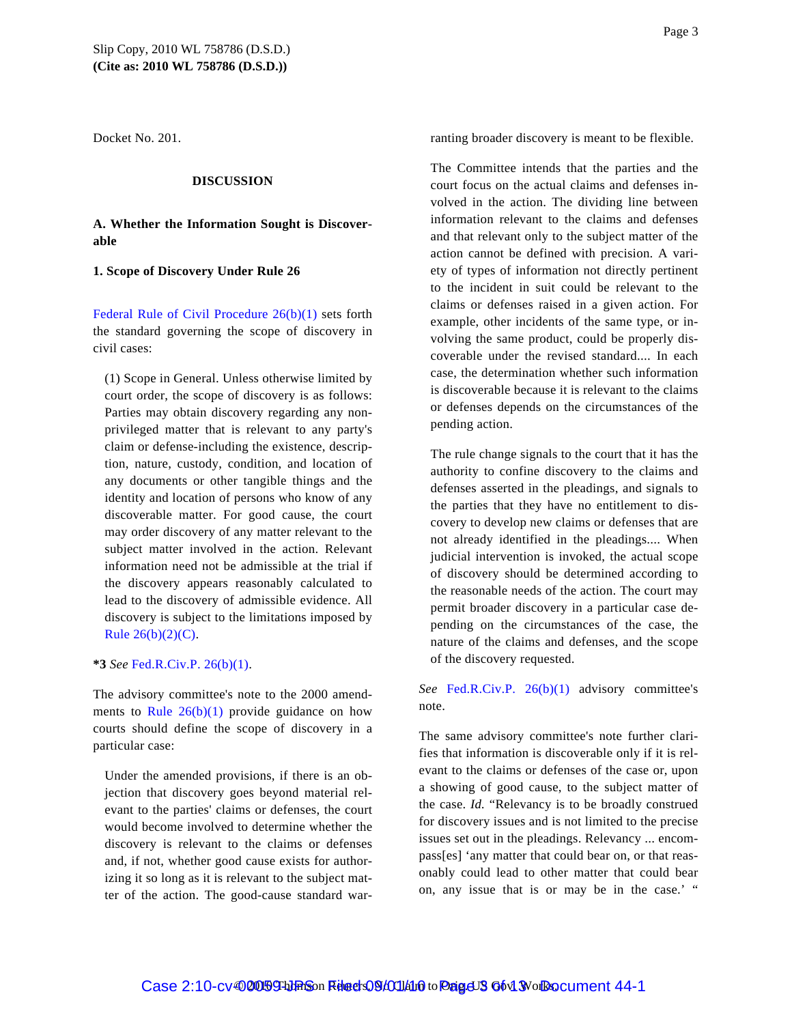Docket No. 201.

## **DISCUSSION**

**A. Whether the Information Sought is Discoverable** 

**1. Scope of Discovery Under Rule 26** 

Federal Rule of Civil Procedure 26(b)(1) sets forth the standard governing the scope of discovery in civil cases:

(1) Scope in General. Unless otherwise limited by court order, the scope of discovery is as follows: Parties may obtain discovery regarding any nonprivileged matter that is relevant to any party's claim or defense-including the existence, description, nature, custody, condition, and location of any documents or other tangible things and the identity and location of persons who know of any discoverable matter. For good cause, the court may order discovery of any matter relevant to the subject matter involved in the action. Relevant information need not be admissible at the trial if the discovery appears reasonably calculated to lead to the discovery of admissible evidence. All discovery is subject to the limitations imposed by Rule 26(b)(2)(C).

**\*3** *See* Fed.R.Civ.P. 26(b)(1).

The advisory committee's note to the 2000 amendments to Rule  $26(b)(1)$  provide guidance on how courts should define the scope of discovery in a particular case:

Under the amended provisions, if there is an objection that discovery goes beyond material relevant to the parties' claims or defenses, the court would become involved to determine whether the discovery is relevant to the claims or defenses and, if not, whether good cause exists for authorizing it so long as it is relevant to the subject matter of the action. The good-cause standard warranting broader discovery is meant to be flexible.

The Committee intends that the parties and the court focus on the actual claims and defenses involved in the action. The dividing line between information relevant to the claims and defenses and that relevant only to the subject matter of the action cannot be defined with precision. A variety of types of information not directly pertinent to the incident in suit could be relevant to the claims or defenses raised in a given action. For example, other incidents of the same type, or involving the same product, could be properly discoverable under the revised standard.... In each case, the determination whether such information is discoverable because it is relevant to the claims or defenses depends on the circumstances of the pending action.

The rule change signals to the court that it has the authority to confine discovery to the claims and defenses asserted in the pleadings, and signals to the parties that they have no entitlement to discovery to develop new claims or defenses that are not already identified in the pleadings.... When judicial intervention is invoked, the actual scope of discovery should be determined according to the reasonable needs of the action. The court may permit broader discovery in a particular case depending on the circumstances of the case, the nature of the claims and defenses, and the scope of the discovery requested.

*See* Fed.R.Civ.P. 26(b)(1) advisory committee's note.

The same advisory committee's note further clarifies that information is discoverable only if it is relevant to the claims or defenses of the case or, upon a showing of good cause, to the subject matter of the case. *Id.* "Relevancy is to be broadly construed for discovery issues and is not limited to the precise issues set out in the pleadings. Relevancy ... encompass[es] 'any matter that could bear on, or that reasonably could lead to other matter that could bear on, any issue that is or may be in the case.' "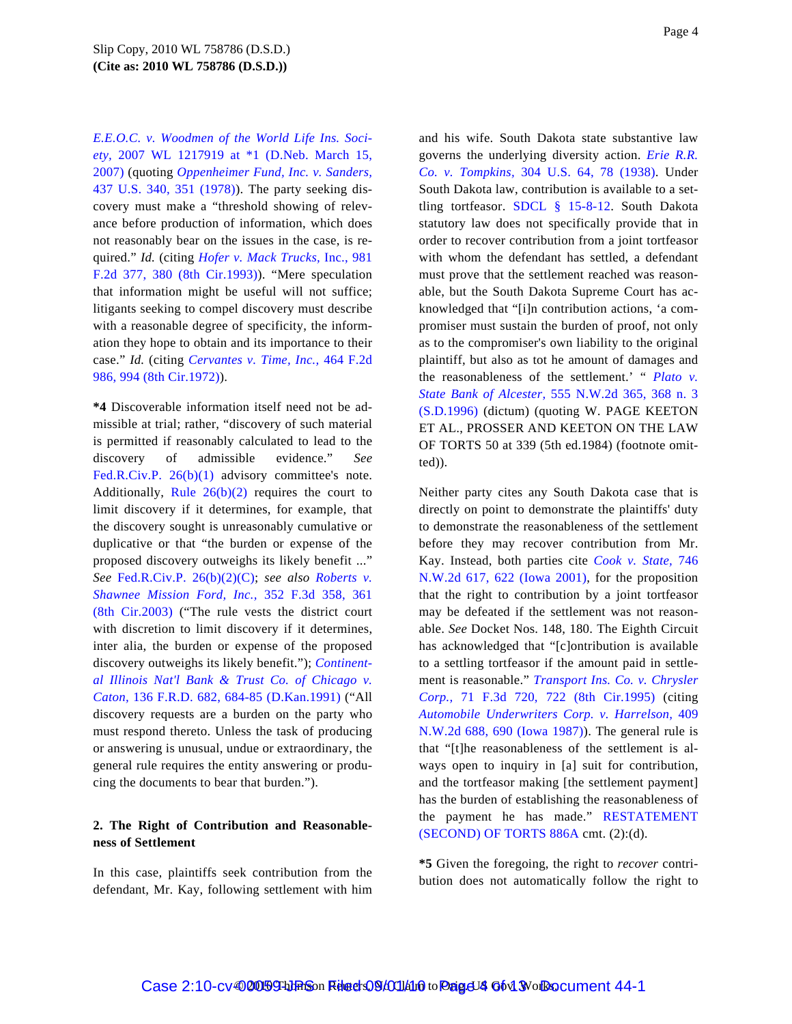*E.E.O.C. v. Woodmen of the World Life Ins. Soci[ety,](http://www.westlaw.com/Find/Default.wl?rs=dfa1.0&vr=2.0&DB=0000999&FindType=Y&SerialNum=2007374528)* 2007 WL 1217919 at \*1 (D.Neb. March 15, 2007) (quoting *Oppenheimer Fund, Inc. v. Sanders,*  437 U.S. 340, 351 (1978)). The party seeking discovery must make a "threshold showing of relevance before production of information, which does not reasonably bear on the issues in the case, is required." *Id.* (citing *Hofer v. Mack Trucks,* Inc., 981 F.2d 377, 380 (8th Cir.1993)). "Mere speculation that information might be useful will not suffice; litigants seeking to compel discovery must describe with a reasonable degree of specificity, the information they hope to obtain and its importance to their case." *Id.* (citing *Cervantes v. Time, Inc.,* 464 F.2d 986, 994 (8th Cir.1972)).

**\*4** Discoverable information itself need not be admissible at trial; rather, "discovery of such material is permitted if reasonably calculated to lead to the discovery of admissible evidence." *See*  Fed.R.Civ.P. 26(b)(1) advisory committee's note. Additionally, Rule  $26(b)(2)$  requires the court to limit discovery if it determines, for example, that the discovery sought is unreasonably cumulative or duplicative or that "the burden or expense of the proposed discovery outweighs its likely benefit ..." *See* Fed.R.Civ.P. 26(b)(2)(C); *see also Roberts v. Shawnee Mission Ford, Inc.,* 352 F.3d 358, 361 (8th Cir.2003) ("The rule vests the district court with discretion to limit discovery if it determines, inter alia, the burden or expense of the proposed discovery outweighs its likely benefit."); *Continental Illinois Nat'l Bank & Trust Co. of Chicago v. Caton,* 136 F.R.D. 682, 684-85 (D.Kan.1991) ("All discovery requests are a burden on the party who must respond thereto. Unless the task of producing or answering is unusual, undue or extraordinary, the general rule requires the entity answering or producing the documents to bear that burden.").

## **2. The Right of Contribution and Reasonableness of Settlement**

In this case, plaintiffs seek contribution from the defendant, Mr. Kay, following settlement with him

and his wife. South Dakota state substantive law governs the underlying diversity action. *Erie R.R. Co. v. Tompkins,* 304 U.S. 64, 78 (1938). Under South Dakota law, contribution is available to a settling tortfeasor. SDCL § 15-8-12. South Dakota statutory law does not specifically provide that in order to recover contribution from a joint tortfeasor with whom the defendant has settled, a defendant must prove that the settlement reached was reasonable, but the South Dakota Supreme Court has acknowledged that "[i]n contribution actions, 'a compromiser must sustain the burden of proof, not only as to the compromiser's own liability to the original plaintiff, but also as tot he amount of damages and the reasonableness of the settlement.' " *Plato v. State Bank of Alcester,* 555 N.W.2d 365, 368 n. 3 (S.D.1996) (dictum) (quoting W. PAGE KEETON ET AL., PROSSER AND KEETON ON THE LAW OF TORTS 50 at 339 (5th ed.1984) (footnote omitted)).

Neither party cites any South Dakota case that is directly on point to demonstrate the plaintiffs' duty to demonstrate the reasonableness of the settlement before they may recover contribution from Mr. Kay. Instead, both parties cite *Cook v. State,* 746 N.W.2d 617, 622 (Iowa 2001), for the proposition that the right to contribution by a joint tortfeasor may be defeated if the settlement was not reasonable. *See* Docket Nos. 148, 180. The Eighth Circuit has acknowledged that "[c]ontribution is available to a settling tortfeasor if the amount paid in settlement is reasonable." *Transport Ins. Co. v. Chrysler Corp.,* 71 F.3d 720, 722 (8th Cir.1995) (citing *Automobile Underwriters Corp. v. Harrelson,* 409 N.W.2d 688, 690 (Iowa 1987)). The general rule is that "[t]he reasonableness of the settlement is always open to inquiry in [a] suit for contribution, and the tortfeasor making [the settlement payment] has the burden of establishing the reasonableness of the payment he has made." RESTATEMENT (SECOND) OF TORTS 886A cmt. (2):(d).

**\*5** Given the foregoing, the right to *recover* contribution does not automatically follow the right to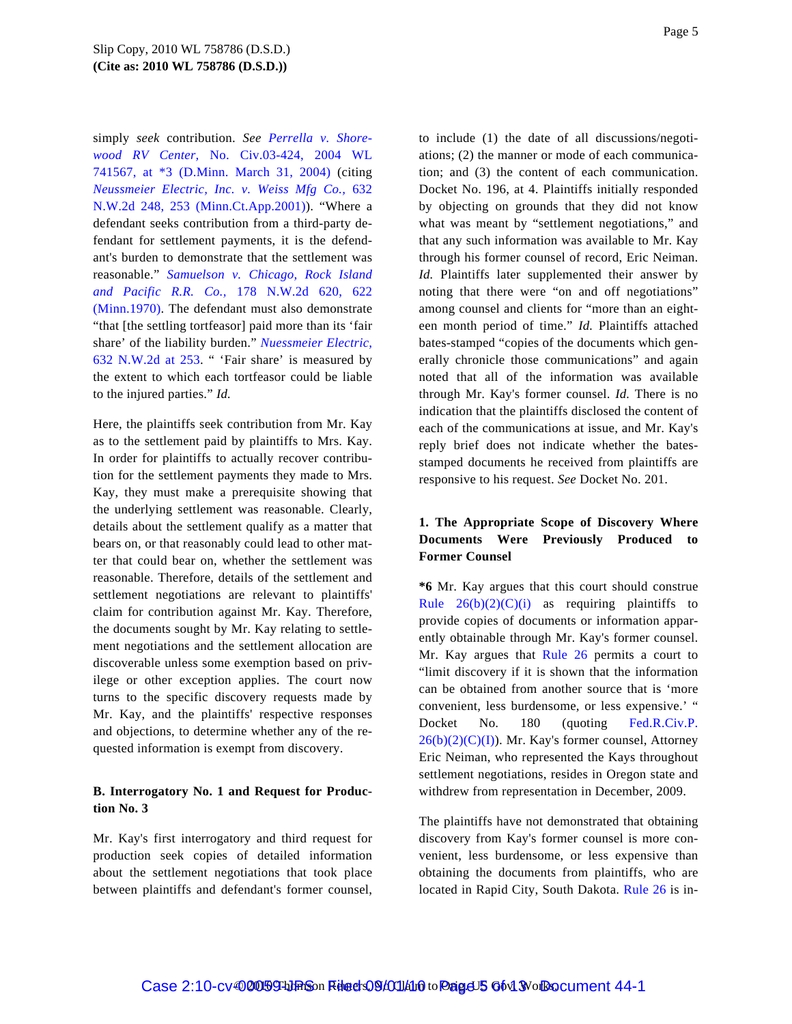simply *seek* contribution. *See Perrella v. Shorewood RV Center,* No. Civ.03-424, 2004 WL 741567, at \*3 (D.Minn. March 31, 2004) (citing *Neussmeier Electric, Inc. v. Weiss Mfg Co.,* 632 N.W.2d 248, 253 (Minn.Ct.App.2001)). "Where a defendant seeks contribution from a third-party defendant for settlement payments, it is the defendant's burden to demonstrate that the settlement was reasonable." *Samuelson v. Chicago, Rock Island and Pacific R.R. Co.,* 178 N.W.2d 620, 622 (Minn.1970). The defendant must also demonstrate "that [the settling tortfeasor] paid more than its 'fair share' of the liability burden." *Nuessmeier Electric,*  632 N.W.2d at 253. " 'Fair share' is measured by the extent to which each tortfeasor could be liable to the injured parties." *Id.* 

Here, the plaintiffs seek contribution from Mr. Kay as to the settlement paid by plaintiffs to Mrs. Kay. In order for plaintiffs to actually recover contribution for the settlement payments they made to Mrs. Kay, they must make a prerequisite showing that the underlying settlement was reasonable. Clearly, details about the settlement qualify as a matter that bears on, or that reasonably could lead to other matter that could bear on, whether the settlement was reasonable. Therefore, details of the settlement and settlement negotiations are relevant to plaintiffs' claim for contribution against Mr. Kay. Therefore, the documents sought by Mr. Kay relating to settlement negotiations and the settlement allocation are discoverable unless some exemption based on privilege or other exception applies. The court now turns to the specific discovery requests made by Mr. Kay, and the plaintiffs' respective responses and objections, to determine whether any of the requested information is exempt from discovery.

## **B. Interrogatory No. 1 and Request for Production No. 3**

Mr. Kay's first interrogatory and third request for production seek copies of detailed information about the settlement negotiations that took place between plaintiffs and defendant's former counsel, to include (1) the date of all discussions/negotiations; (2) the manner or mode of each communication; and (3) the content of each communication. Docket No. 196, at 4. Plaintiffs initially responded by objecting on grounds that they did not know what was meant by "settlement negotiations," and that any such information was available to Mr. Kay through his former counsel of record, Eric Neiman. *Id.* Plaintiffs later supplemented their answer by noting that there were "on and off negotiations" among counsel and clients for "more than an eighteen month period of time." *Id.* Plaintiffs attached bates-stamped "copies of the documents which generally chronicle those communications" and again noted that all of the information was available through Mr. Kay's former counsel. *Id.* There is no indication that the plaintiffs disclosed the content of each of the communications at issue, and Mr. Kay's reply brief does not indicate whether the batesstamped documents he received from plaintiffs are responsive to his request. *See* Docket No. 201.

## **1. The Appropriate Scope of Discovery Where Documents Were Previously Produced to Former Counsel**

**\*6** Mr. Kay argues that this court should construe Rule  $26(b)(2)(C)(i)$  as requiring plaintiffs to provide copies of documents or information apparently obtainable through Mr. Kay's former counsel. Mr. Kay argues that Rule 26 permits a court to "limit discovery if it is shown that the information can be obtained from another source that is 'more convenient, less burdensome, or less expensive.' " Docket No. 180 (quoting Fed.R.Civ.P.  $26(b)(2)(C)(I)$ ). Mr. Kay's former counsel, Attorney Eric Neiman, who represented the Kays throughout settlement negotiations, resides in Oregon state and withdrew from representation in December, 2009.

The plaintiffs have not demonstrated that obtaining discovery from Kay's former counsel is more convenient, less burdensome, or less expensive than obtaining the documents from plaintiffs, who are located in Rapid City, South Dakota. Rule 26 is in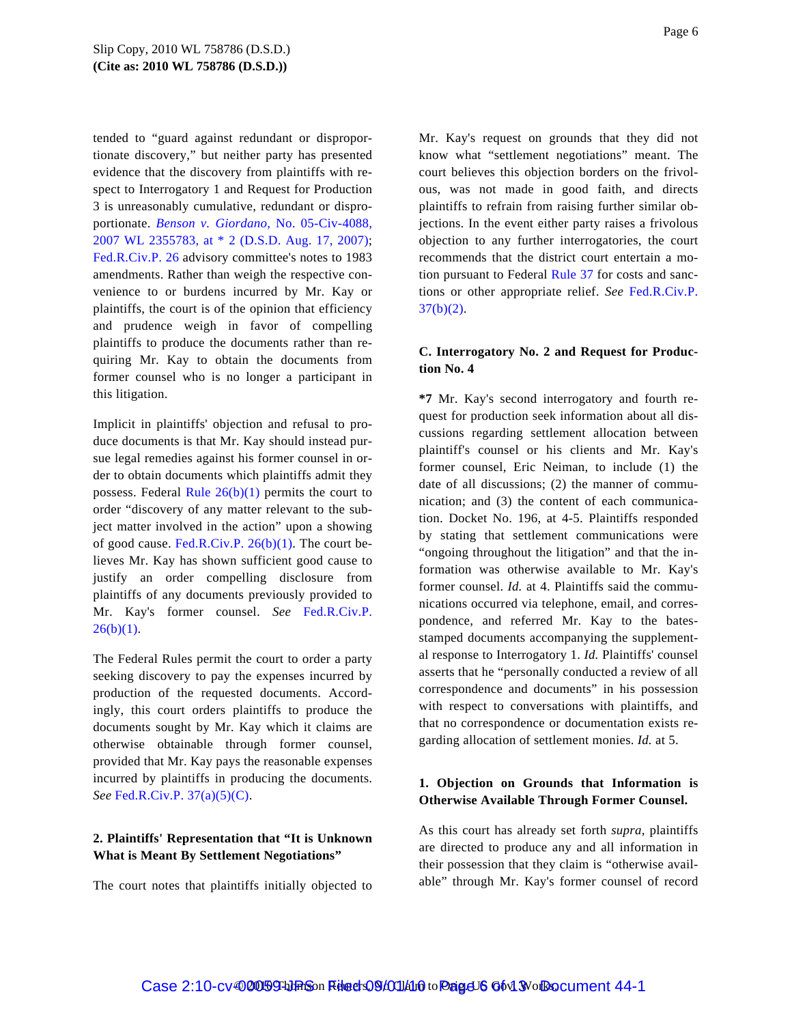tended to "guard against redundant or disproportionate discovery," but neither party has presented evidence that the discovery from plaintiffs with respect to Interrogatory 1 and Request for Production 3 is unreasonably cumulative, redundant or disproportionate. *Benson v. Giordano,* No. 05-Civ-4088, 2007 WL 2355783, at \* 2 (D.S.D. Aug. 17, 2007); Fed.R.Civ.P. 26 advisory committee's notes to 1983 amendments. Rather than weigh the respective convenience to or burdens incurred by Mr. Kay or plaintiffs, the court is of the opinion that efficiency and prudence weigh in favor of compelling plaintiffs to produce the documents rather than requiring Mr. Kay to obtain the documents from former counsel who is no longer a participant in this litigation.

Implicit in plaintiffs' objection and refusal to produce documents is that Mr. Kay should instead pursue legal remedies against his former counsel in order to obtain documents which plaintiffs admit they possess. Federal Rule  $26(b)(1)$  permits the court to order "discovery of any matter relevant to the subject matter involved in the action" upon a showing of good cause. Fed.R.Civ.P. 26(b)(1). The court believes Mr. Kay has shown sufficient good cause to justify an order compelling disclosure from plaintiffs of any documents previously provided to Mr. Kay's former counsel. *See* Fed.R.Civ.P.  $26(b)(1)$ .

The Federal Rules permit the court to order a party seeking discovery to pay the expenses incurred by production of the requested documents. Accordingly, this court orders plaintiffs to produce the documents sought by Mr. Kay which it claims are otherwise obtainable through former counsel, provided that Mr. Kay pays the reasonable expenses incurred by plaintiffs in producing the documents. *See* Fed.R.Civ.P. 37(a)(5)(C).

## **2. Plaintiffs' Representation that "It is Unknown What is Meant By Settlement Negotiations"**

The court notes that plaintiffs initially objected to

Mr. Kay's request on grounds that they did not know what "settlement negotiations" meant. The court believes this objection borders on the frivolous, was not made in good faith, and directs plaintiffs to refrain from raising further similar objections. In the event either party raises a frivolous objection to any further interrogatories, the court recommends that the district court entertain a motion pursuant to Federal Rule 37 for costs and sanctions or other appropriate relief. *See* Fed.R.Civ.P.  $37(b)(2)$ .

## **C. Interrogatory No. 2 and Request for Production No. 4**

**\*7** Mr. Kay's second interrogatory and fourth request for production seek information about all discussions regarding settlement allocation between plaintiff's counsel or his clients and Mr. Kay's former counsel, Eric Neiman, to include (1) the date of all discussions; (2) the manner of communication; and (3) the content of each communication. Docket No. 196, at 4-5. Plaintiffs responded by stating that settlement communications were "ongoing throughout the litigation" and that the information was otherwise available to Mr. Kay's former counsel. *Id.* at 4. Plaintiffs said the communications occurred via telephone, email, and correspondence, and referred Mr. Kay to the batesstamped documents accompanying the supplemental response to Interrogatory 1. *Id.* Plaintiffs' counsel asserts that he "personally conducted a review of all correspondence and documents" in his possession with respect to conversations with plaintiffs, and that no correspondence or documentation exists regarding allocation of settlement monies. *Id.* at 5.

## **1. Objection on Grounds that Information is Otherwise Available Through Former Counsel.**

As this court has already set forth *supra,* plaintiffs are directed to produce any and all information in their possession that they claim is "otherwise available" through Mr. Kay's former counsel of record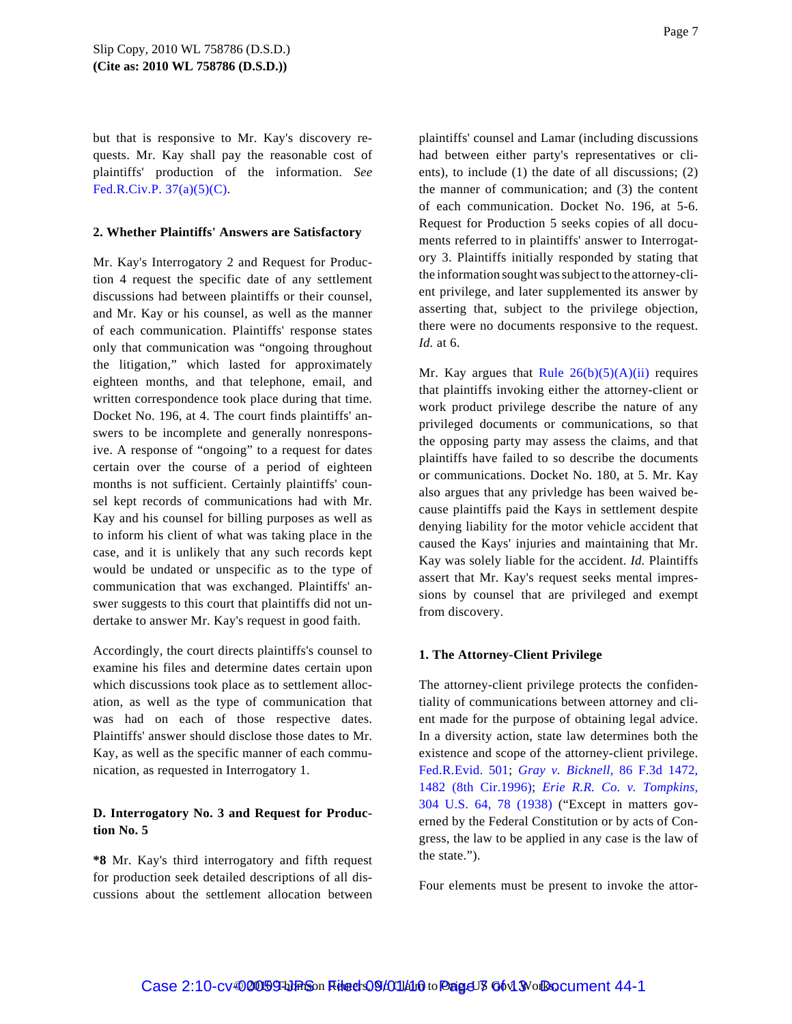but that is responsive to Mr. Kay's discovery requests. Mr. Kay shall pay the reasonable cost of plaintiffs' production of the information. *See*  Fed.R.Civ.P. 37(a)(5)(C).

#### **2. Whether Plaintiffs' Answers are Satisfactory**

Mr. Kay's Interrogatory 2 and Request for Production 4 request the specific date of any settlement discussions had between plaintiffs or their counsel, and Mr. Kay or his counsel, as well as the manner of each communication. Plaintiffs' response states only that communication was "ongoing throughout the litigation," which lasted for approximately eighteen months, and that telephone, email, and written correspondence took place during that time. Docket No. 196, at 4. The court finds plaintiffs' answers to be incomplete and generally nonresponsive. A response of "ongoing" to a request for dates certain over the course of a period of eighteen months is not sufficient. Certainly plaintiffs' counsel kept records of communications had with Mr. Kay and his counsel for billing purposes as well as to inform his client of what was taking place in the case, and it is unlikely that any such records kept would be undated or unspecific as to the type of communication that was exchanged. Plaintiffs' answer suggests to this court that plaintiffs did not undertake to answer Mr. Kay's request in good faith.

Accordingly, the court directs plaintiffs's counsel to examine his files and determine dates certain upon which discussions took place as to settlement allocation, as well as the type of communication that was had on each of those respective dates. Plaintiffs' answer should disclose those dates to Mr. Kay, as well as the specific manner of each communication, as requested in Interrogatory 1.

## **D. Interrogatory No. 3 and Request for Production No. 5**

**\*8** Mr. Kay's third interrogatory and fifth request for production seek detailed descriptions of all discussions about the settlement allocation between plaintiffs' counsel and Lamar (including discussions had between either party's representatives or clients), to include (1) the date of all discussions; (2) the manner of communication; and (3) the content of each communication. Docket No. 196, at 5-6. Request for Production 5 seeks copies of all documents referred to in plaintiffs' answer to Interrogatory 3. Plaintiffs initially responded by stating that the information sought was subject to the attorney-client privilege, and later supplemented its answer by asserting that, subject to the privilege objection, there were no documents responsive to the request. *Id.* at 6.

Mr. Kay argues that Rule  $26(b)(5)(A)(ii)$  requires that plaintiffs invoking either the attorney-client or work product privilege describe the nature of any privileged documents or communications, so that the opposing party may assess the claims, and that plaintiffs have failed to so describe the documents or communications. Docket No. 180, at 5. Mr. Kay also argues that any privledge has been waived because plaintiffs paid the Kays in settlement despite denying liability for the motor vehicle accident that caused the Kays' injuries and maintaining that Mr. Kay was solely liable for the accident. *Id.* Plaintiffs assert that Mr. Kay's request seeks mental impressions by counsel that are privileged and exempt from discovery.

### **1. The Attorney-Client Privilege**

The attorney-client privilege protects the confidentiality of communications between attorney and client made for the purpose of obtaining legal advice. In a diversity action, state law determines both the existence and scope of the attorney-client privilege. Fed.R.Evid. 501; *Gray v. Bicknell,* 86 F.3d 1472, 1482 (8th Cir.1996); *Erie R.R. Co. v. Tompkins,*  304 U.S. 64, 78 (1938) ("Except in matters governed by the Federal Constitution or by acts of Congress, the law to be applied in any case is the law of the state.").

Four elements must be present to invoke the attor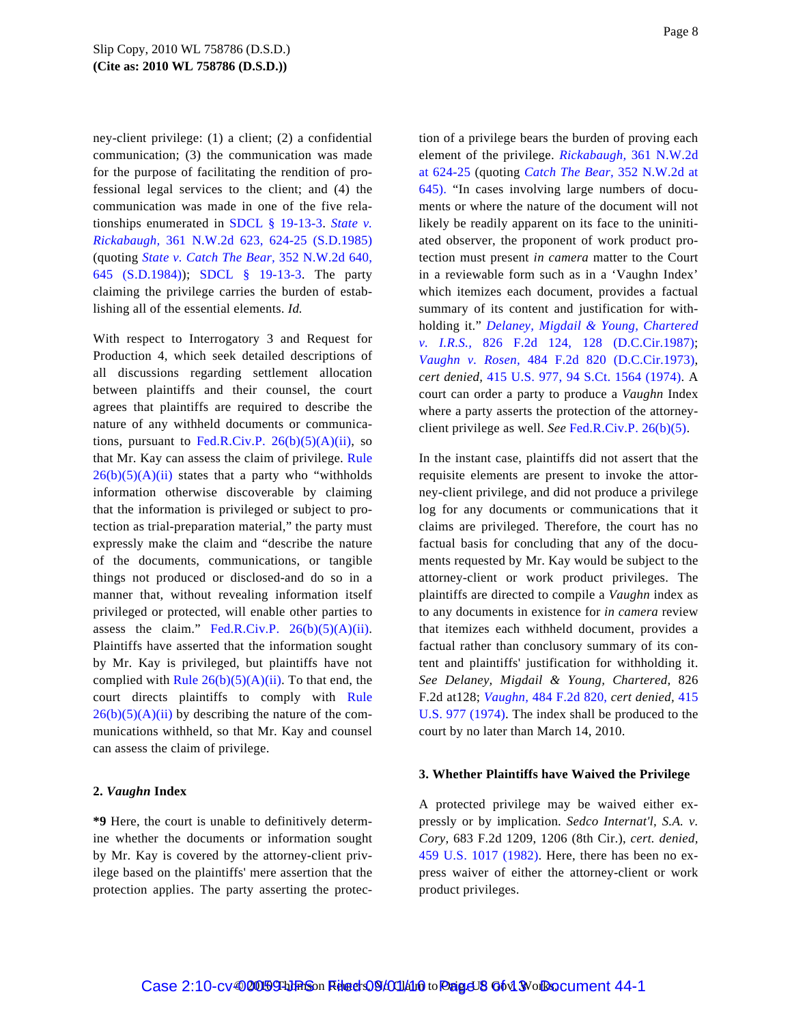ney-client privilege: (1) a client; (2) a confidential communication; (3) the communication was made for the purpose of facilitating the rendition of professional legal services to the client; and (4) the communication was made in one of the five relationships enumerated in SDCL § 19-13-3. *State v. Rickabaugh,* 361 N.W.2d 623, 624-25 (S.D.1985) (quoting *State v. Catch The Bear,* 352 N.W.2d 640, 645 (S.D.1984)); SDCL § 19-13-3. The party claiming the privilege carries the burden of establishing all of the essential elements. *Id.* 

With respect to Interrogatory 3 and Request for Production 4, which seek detailed descriptions of all discussions regarding settlement allocation between plaintiffs and their counsel, the court agrees that plaintiffs are required to describe the nature of any withheld documents or communications, pursuant to Fed.R.Civ.P.  $26(b)(5)(A)(ii)$ , so that Mr. Kay can assess the claim of privilege. Rule  $26(b)(5)(A)(ii)$  states that a party who "withholds" information otherwise discoverable by claiming that the information is privileged or subject to protection as trial-preparation material," the party must expressly make the claim and "describe the nature of the documents, communications, or tangible things not produced or disclosed-and do so in a manner that, without revealing information itself privileged or protected, will enable other parties to assess the claim." Fed.R.Civ.P.  $26(b)(5)(A)(ii)$ . Plaintiffs have asserted that the information sought by Mr. Kay is privileged, but plaintiffs have not complied with Rule  $26(b)(5)(A)(ii)$ . To that end, the court directs plaintiffs to comply with Rule  $26(b)(5)(A)(ii)$  by describing the nature of the communications withheld, so that Mr. Kay and counsel can assess the claim of privilege.

### **2.** *Vaughn* **Index**

**\*9** Here, the court is unable to definitively determine whether the documents or information sought by Mr. Kay is covered by the attorney-client privilege based on the plaintiffs' mere assertion that the protection applies. The party asserting the protection of a privilege bears the burden of proving each element of the privilege. *Rickabaugh,* 361 N.W.2d at 624-25 (quoting *Catch The Bear,* 352 N.W.2d at 645). "In cases involving large numbers of documents or where the nature of the document will not likely be readily apparent on its face to the uninitiated observer, the proponent of work product protection must present *in camera* matter to the Court in a reviewable form such as in a 'Vaughn Index' which itemizes each document, provides a factual summary of its content and justification for withholding it." *Delaney, Migdail & Young, Chartered v. I.R.S.,* 826 F.2d 124, 128 (D.C.Cir.1987); *Vaughn v. Rosen,* 484 F.2d 820 (D.C.Cir.1973), *cert denied,* 415 U.S. 977, 94 S.Ct. 1564 (1974). A court can order a party to produce a *Vaughn* Index where a party asserts the protection of the attorneyclient privilege as well. *See* Fed.R.Civ.P. 26(b)(5).

In the instant case, plaintiffs did not assert that the requisite elements are present to invoke the attorney-client privilege, and did not produce a privilege log for any documents or communications that it claims are privileged. Therefore, the court has no factual basis for concluding that any of the documents requested by Mr. Kay would be subject to the attorney-client or work product privileges. The plaintiffs are directed to compile a *Vaughn* index as to any documents in existence for *in camera* review that itemizes each withheld document, provides a factual rather than conclusory summary of its content and plaintiffs' justification for withholding it. *See Delaney, Migdail & Young, Chartered,* 826 F.2d at128; *Vaughn,* 484 F.2d 820, *cert denied,* 415 U.S. 977 (1974). The index shall be produced to the court by no later than March 14, 2010.

### **3. Whether Plaintiffs have Waived the Privilege**

A protected privilege may be waived either expressly or by implication. *Sedco Internat'l, S.A. v. Cory,* 683 F.2d 1209, 1206 (8th Cir.), *cert. denied,*  459 U.S. 1017 (1982). Here, there has been no express waiver of either the attorney-client or work product privileges.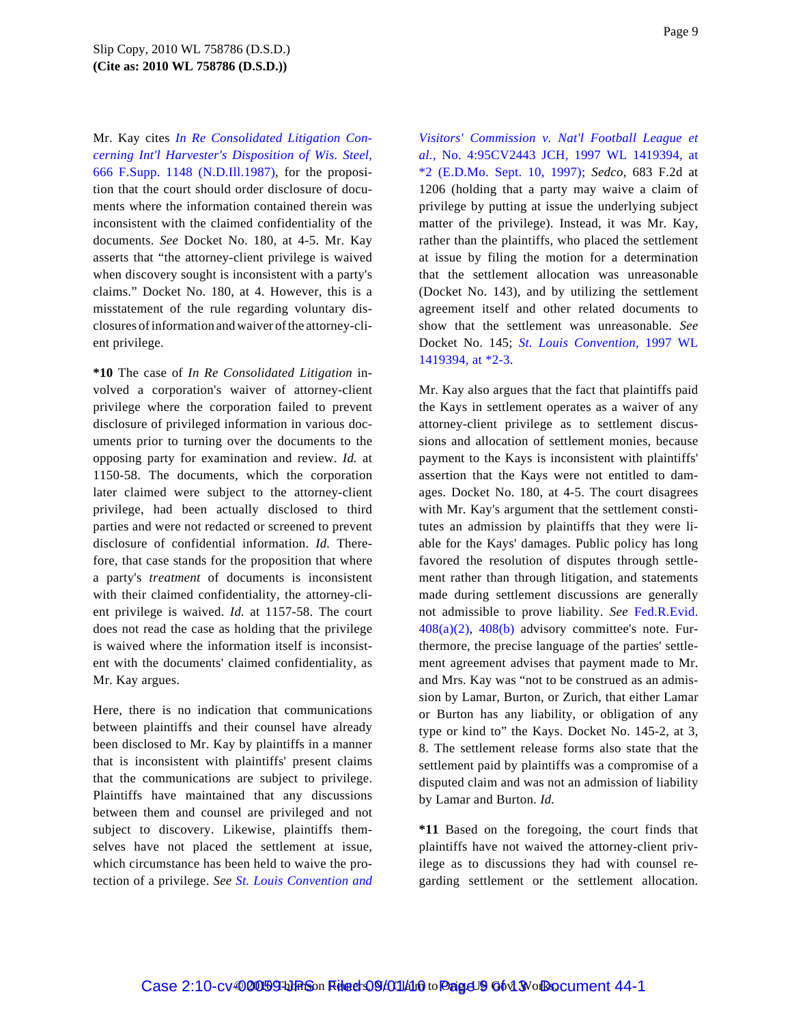Mr. Kay cites *In Re Consolidated Litigation Concerning Int'l Harvester's Disposition of Wis. Steel,*  666 F.Supp. 1148 (N.D.Ill.1987), for the proposition that the court should order disclosure of documents where the information contained therein was inconsistent with the claimed confidentiality of the documents. *See* Docket No. 180, at 4-5. Mr. Kay asserts that "the attorney-client privilege is waived when discovery sought is inconsistent with a party's claims." Docket No. 180, at 4. However, this is a misstatement of the rule regarding voluntary disclosures of information and waiver of the attorney-client privilege.

**\*10** The case of *In Re Consolidated Litigation* involved a corporation's waiver of attorney-client privilege where the corporation failed to prevent disclosure of privileged information in various documents prior to turning over the documents to the opposing party for examination and review. *Id.* at 1150-58. The documents, which the corporation later claimed were subject to the attorney-client privilege, had been actually disclosed to third parties and were not redacted or screened to prevent disclosure of confidential information. *Id.* Therefore, that case stands for the proposition that where a party's *treatment* of documents is inconsistent with their claimed confidentiality, the attorney-client privilege is waived. *Id.* at 1157-58. The court does not read the case as holding that the privilege is waived where the information itself is inconsistent with the documents' claimed confidentiality, as Mr. Kay argues.

Here, there is no indication that communications between plaintiffs and their counsel have already been disclosed to Mr. Kay by plaintiffs in a manner that is inconsistent with plaintiffs' present claims that the communications are subject to privilege. Plaintiffs have maintained that any discussions between them and counsel are privileged and not subject to discovery. Likewise, plaintiffs themselves have not placed the settlement at issue, which circumstance has been held to waive the protection of a privilege. *See St. Louis Convention and*  *Visitors' Commission v. Nat'l Football League et al.,* No. 4:95CV2443 JCH, 1997 WL 1419394, at \*2 (E.D.Mo. Sept. 10, 1997); *Sedco,* 683 F.2d at 1206 (holding that a party may waive a claim of privilege by putting at issue the underlying subject matter of the privilege). Instead, it was Mr. Kay, rather than the plaintiffs, who placed the settlement at issue by filing the motion for a determination that the settlement allocation was unreasonable (Docket No. 143), and by utilizing the settlement agreement itself and other related documents to show that the settlement was unreasonable. *See*  Docket No. 145; *St. Louis Convention,* 1997 WL 1419394, at \*2-3.

Mr. Kay also argues that the fact that plaintiffs paid the Kays in settlement operates as a waiver of any attorney-client privilege as to settlement discussions and allocation of settlement monies, because payment to the Kays is inconsistent with plaintiffs' assertion that the Kays were not entitled to damages. Docket No. 180, at 4-5. The court disagrees with Mr. Kay's argument that the settlement constitutes an admission by plaintiffs that they were liable for the Kays' damages. Public policy has long favored the resolution of disputes through settlement rather than through litigation, and statements made during settlement discussions are generally not admissible to prove liability. *See* Fed.R.Evid.  $408(a)(2)$ ,  $408(b)$  advisory committee's note. Furthermore, the precise language of the parties' settlement agreement advises that payment made to Mr. and Mrs. Kay was "not to be construed as an admission by Lamar, Burton, or Zurich, that either Lamar or Burton has any liability, or obligation of any type or kind to" the Kays. Docket No. 145-2, at 3, 8. The settlement release forms also state that the settlement paid by plaintiffs was a compromise of a disputed claim and was not an admission of liability by Lamar and Burton. *Id.* 

**\*11** Based on the foregoing, the court finds that plaintiffs have not waived the attorney-client privilege as to discussions they had with counsel regarding settlement or the settlement allocation.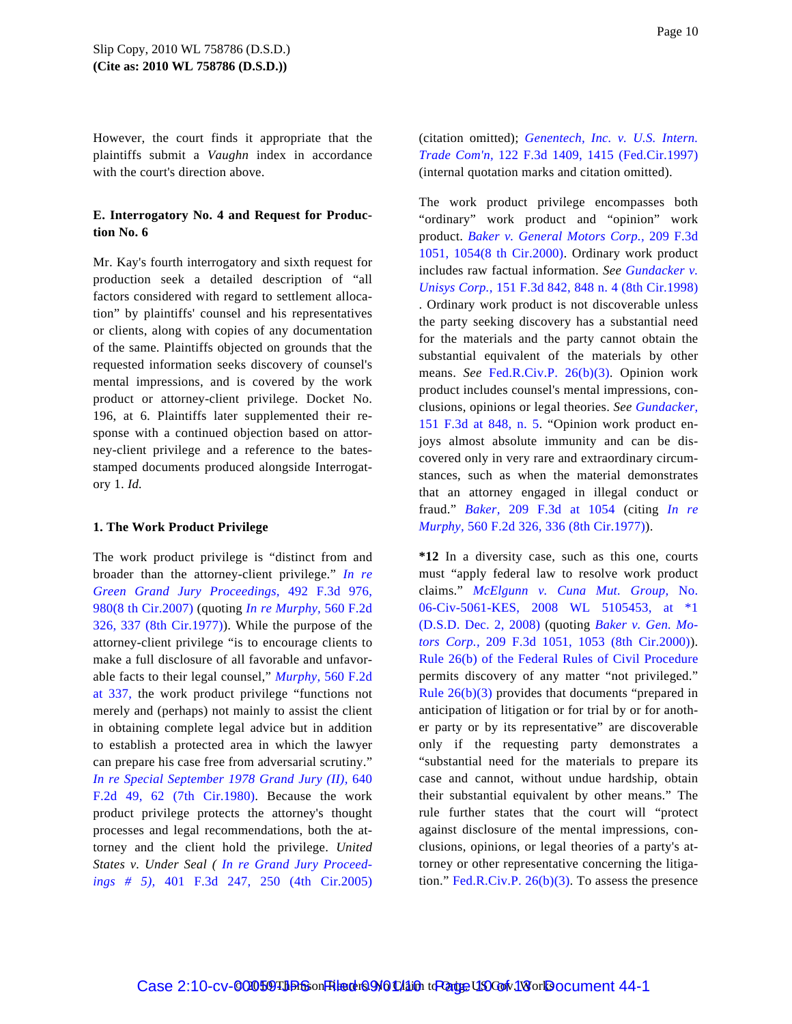However, the court finds it appropriate that the plaintiffs submit a *Vaughn* index in accordance with the court's direction above.

## **E. Interrogatory No. 4 and Request for Production No. 6**

Mr. Kay's fourth interrogatory and sixth request for production seek a detailed description of "all factors considered with regard to settlement allocation" by plaintiffs' counsel and his representatives or clients, along with copies of any documentation of the same. Plaintiffs objected on grounds that the requested information seeks discovery of counsel's mental impressions, and is covered by the work product or attorney-client privilege. Docket No. 196, at 6. Plaintiffs later supplemented their response with a continued objection based on attorney-client privilege and a reference to the batesstamped documents produced alongside Interrogatory 1. *Id.* 

### **1. The Work Product Privilege**

The work product privilege is "distinct from and broader than the attorney-client privilege." *In re Green Grand Jury Proceedings,* 492 F.3d 976, 980(8 th Cir.2007) (quoting *In re Murphy,* 560 F.2d 326, 337 (8th Cir.1977)). While the purpose of the attorney-client privilege "is to encourage clients to make a full disclosure of all favorable and unfavorable facts to their legal counsel," *Murphy,* 560 F.2d at 337, the work product privilege "functions not merely and (perhaps) not mainly to assist the client in obtaining complete legal advice but in addition to establish a protected area in which the lawyer can prepare his case free from adversarial scrutiny." *In re Special September 1978 Grand Jury (II),* 640 F.2d 49, 62 (7th Cir.1980). Because the work product privilege protects the attorney's thought processes and legal recommendations, both the attorney and the client hold the privilege. *United States v. Under Seal ( In re Grand Jury Proceedings # 5),* 401 F.3d 247, 250 (4th Cir.2005) (citation omitted); *Genentech, Inc. v. U.S. Intern. Trade Com'n,* 122 F.3d 1409, 1415 (Fed.Cir.1997) (internal quotation marks and citation omitted).

The work product privilege encompasses both "ordinary" work product and "opinion" work product. *Baker v. General Motors Corp.,* 209 F.3d 1051, 1054(8 th Cir.2000). Ordinary work product includes raw factual information. *See Gundacker v. Unisys Corp.,* 151 F.3d 842, 848 n. 4 (8th Cir.1998) . Ordinary work product is not discoverable unless the party seeking discovery has a substantial need for the materials and the party cannot obtain the substantial equivalent of the materials by other means. *See* Fed.R.Civ.P. 26(b)(3). Opinion work product includes counsel's mental impressions, conclusions, opinions or legal theories. *See Gundacker,*  151 F.3d at 848, n. 5. "Opinion work product enjoys almost absolute immunity and can be discovered only in very rare and extraordinary circumstances, such as when the material demonstrates that an attorney engaged in illegal conduct or fraud." *Baker,* 209 F.3d at 1054 (citing *In re Murphy,* 560 F.2d 326, 336 (8th Cir.1977)).

**\*12** In a diversity case, such as this one, courts must "apply federal law to resolve work product claims." *McElgunn v. Cuna Mut. Group,* No. 06-Civ-5061-KES, 2008 WL 5105453, at \*1 (D.S.D. Dec. 2, 2008) (quoting *Baker v. Gen. Motors Corp.,* 209 F.3d 1051, 1053 (8th Cir.2000)). Rule 26(b) of the Federal Rules of Civil Procedure permits discovery of any matter "not privileged." Rule 26(b)(3) provides that documents "prepared in anticipation of litigation or for trial by or for another party or by its representative" are discoverable only if the requesting party demonstrates a "substantial need for the materials to prepare its case and cannot, without undue hardship, obtain their substantial equivalent by other means." The rule further states that the court will "protect against disclosure of the mental impressions, conclusions, opinions, or legal theories of a party's attorney or other representative concerning the litigation." Fed.R.Civ.P.  $26(b)(3)$ . To assess the presence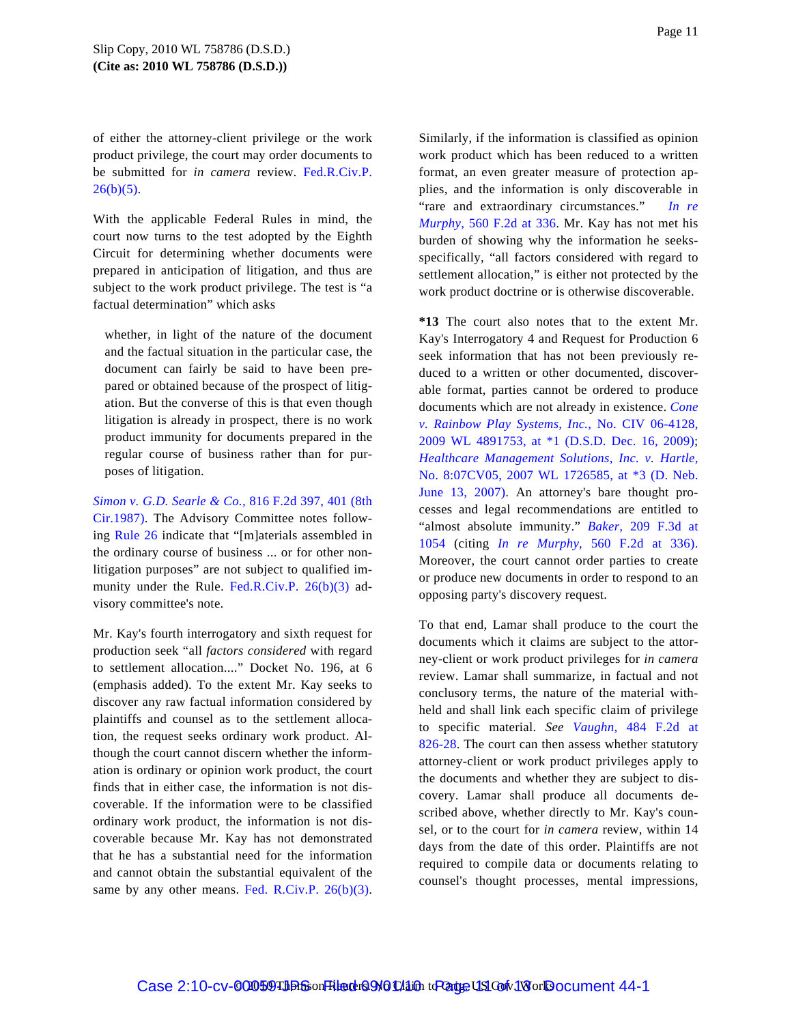of either the attorney-client privilege or the work product privilege, the court may order documents to be submitted for *in camera* review. Fed.R.Civ.P.  $26(b)(5)$ .

With the applicable Federal Rules in mind, the court now turns to the test adopted by the Eighth Circuit for determining whether documents were prepared in anticipation of litigation, and thus are subject to the work product privilege. The test is "a factual determination" which asks

whether, in light of the nature of the document and the factual situation in the particular case, the document can fairly be said to have been prepared or obtained because of the prospect of litigation. But the converse of this is that even though litigation is already in prospect, there is no work product immunity for documents prepared in the regular course of business rather than for purposes of litigation.

*Simon v. G.D. Searle & Co.,* 816 F.2d 397, 401 (8th Cir.1987). The Advisory Committee notes following Rule 26 indicate that "[m]aterials assembled in the ordinary course of business ... or for other nonlitigation purposes" are not subject to qualified immunity under the Rule. Fed.R.Civ.P. 26(b)(3) advisory committee's note.

Mr. Kay's fourth interrogatory and sixth request for production seek "all *factors considered* with regard to settlement allocation...." Docket No. 196, at 6 (emphasis added). To the extent Mr. Kay seeks to discover any raw factual information considered by plaintiffs and counsel as to the settlement allocation, the request seeks ordinary work product. Although the court cannot discern whether the information is ordinary or opinion work product, the court finds that in either case, the information is not discoverable. If the information were to be classified ordinary work product, the information is not discoverable because Mr. Kay has not demonstrated that he has a substantial need for the information and cannot obtain the substantial equivalent of the same by any other means. Fed. R.Civ.P. 26(b)(3). Similarly, if the information is classified as opinion work product which has been reduced to a written format, an even greater measure of protection applies, and the information is only discoverable in "rare and extraordinary circumstances." *In re Murphy,* 560 F.2d at 336. Mr. Kay has not met his burden of showing why the information he seeksspecifically, "all factors considered with regard to settlement allocation," is either not protected by the work product doctrine or is otherwise discoverable.

**\*13** The court also notes that to the extent Mr. Kay's Interrogatory 4 and Request for Production 6 seek information that has not been previously reduced to a written or other documented, discoverable format, parties cannot be ordered to produce documents which are not already in existence. *Cone v. Rainbow Play Systems, Inc.,* No. CIV 06-4128, 2009 WL 4891753, at \*1 (D.S.D. Dec. 16, 2009); *Healthcare Management Solutions, Inc. v. Hartle,*  No. 8:07CV05, 2007 WL 1726585, at \*3 (D. Neb. June 13, 2007). An attorney's bare thought processes and legal recommendations are entitled to "almost absolute immunity." *Baker,* 209 F.3d at 1054 (citing *In re Murphy,* 560 F.2d at 336). Moreover, the court cannot order parties to create or produce new documents in order to respond to an opposing party's discovery request.

To that end, Lamar shall produce to the court the documents which it claims are subject to the attorney-client or work product privileges for *in camera*  review. Lamar shall summarize, in factual and not conclusory terms, the nature of the material withheld and shall link each specific claim of privilege to specific material. *See Vaughn,* 484 F.2d at 826-28. The court can then assess whether statutory attorney-client or work product privileges apply to the documents and whether they are subject to discovery. Lamar shall produce all documents described above, whether directly to Mr. Kay's counsel, or to the court for *in camera* review, within 14 days from the date of this order. Plaintiffs are not required to compile data or documents relating to counsel's thought processes, mental impressions,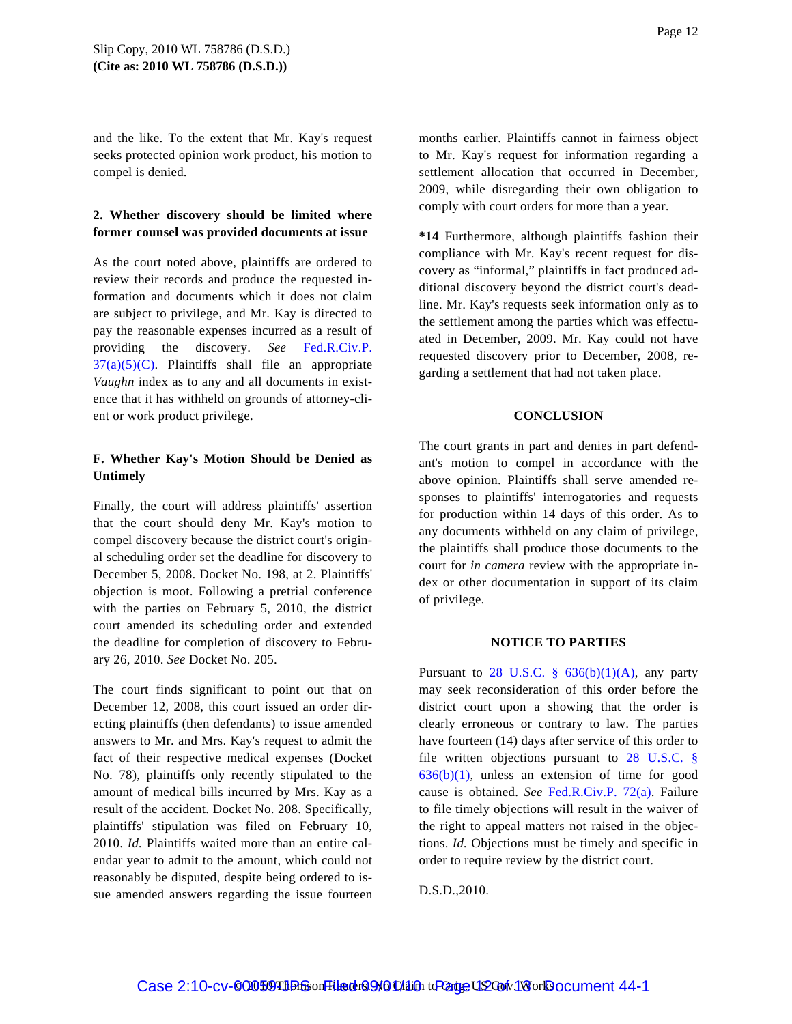and the like. To the extent that Mr. Kay's request seeks protected opinion work product, his motion to compel is denied.

## **2. Whether discovery should be limited where former counsel was provided documents at issue**

As the court noted above, plaintiffs are ordered to review their records and produce the requested information and documents which it does not claim are subject to privilege, and Mr. Kay is directed to pay the reasonable expenses incurred as a result of providing the discovery. *See* Fed.R.Civ.P.  $37(a)(5)(C)$ . Plaintiffs shall file an appropriate *Vaughn* index as to any and all documents in existence that it has withheld on grounds of attorney-client or work product privilege.

## **F. Whether Kay's Motion Should be Denied as Untimely**

Finally, the court will address plaintiffs' assertion that the court should deny Mr. Kay's motion to compel discovery because the district court's original scheduling order set the deadline for discovery to December 5, 2008. Docket No. 198, at 2. Plaintiffs' objection is moot. Following a pretrial conference with the parties on February 5, 2010, the district court amended its scheduling order and extended the deadline for completion of discovery to February 26, 2010. *See* Docket No. 205.

The court finds significant to point out that on December 12, 2008, this court issued an order directing plaintiffs (then defendants) to issue amended answers to Mr. and Mrs. Kay's request to admit the fact of their respective medical expenses (Docket No. 78), plaintiffs only recently stipulated to the amount of medical bills incurred by Mrs. Kay as a result of the accident. Docket No. 208. Specifically, plaintiffs' stipulation was filed on February 10, 2010. *Id.* Plaintiffs waited more than an entire calendar year to admit to the amount, which could not reasonably be disputed, despite being ordered to issue amended answers regarding the issue fourteen months earlier. Plaintiffs cannot in fairness object to Mr. Kay's request for information regarding a settlement allocation that occurred in December, 2009, while disregarding their own obligation to comply with court orders for more than a year.

**\*14** Furthermore, although plaintiffs fashion their compliance with Mr. Kay's recent request for discovery as "informal," plaintiffs in fact produced additional discovery beyond the district court's deadline. Mr. Kay's requests seek information only as to the settlement among the parties which was effectuated in December, 2009. Mr. Kay could not have requested discovery prior to December, 2008, regarding a settlement that had not taken place.

## **CONCLUSION**

The court grants in part and denies in part defendant's motion to compel in accordance with the above opinion. Plaintiffs shall serve amended responses to plaintiffs' interrogatories and requests for production within 14 days of this order. As to any documents withheld on any claim of privilege, the plaintiffs shall produce those documents to the court for *in camera* review with the appropriate index or other documentation in support of its claim of privilege.

### **NOTICE TO PARTIES**

Pursuant to  $28$  U.S.C. §  $636(b)(1)(A)$ , any party may seek reconsideration of this order before the district court upon a showing that the order is clearly erroneous or contrary to law. The parties have fourteen (14) days after service of this order to file written objections pursuant to 28 U.S.C. §  $636(b)(1)$ , unless an extension of time for good cause is obtained. *See* Fed.R.Civ.P. 72(a). Failure to file timely objections will result in the waiver of the right to appeal matters not raised in the objections. *Id.* Objections must be timely and specific in order to require review by the district court.

D.S.D.,2010.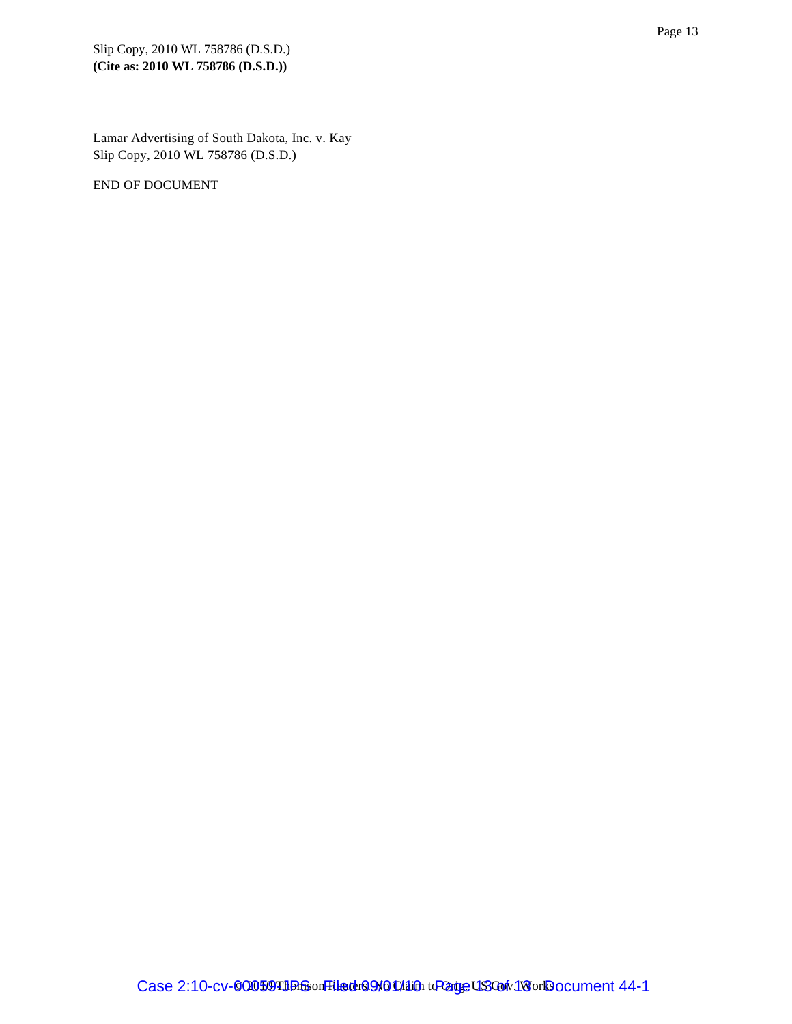Slip Copy, 2010 WL 758786 (D.S.D.) **(Cite as: 2010 WL 758786 (D.S.D.))** 

Lamar Advertising of South Dakota, Inc. v. Kay Slip Copy, 2010 WL 758786 (D.S.D.)

END OF DOCUMENT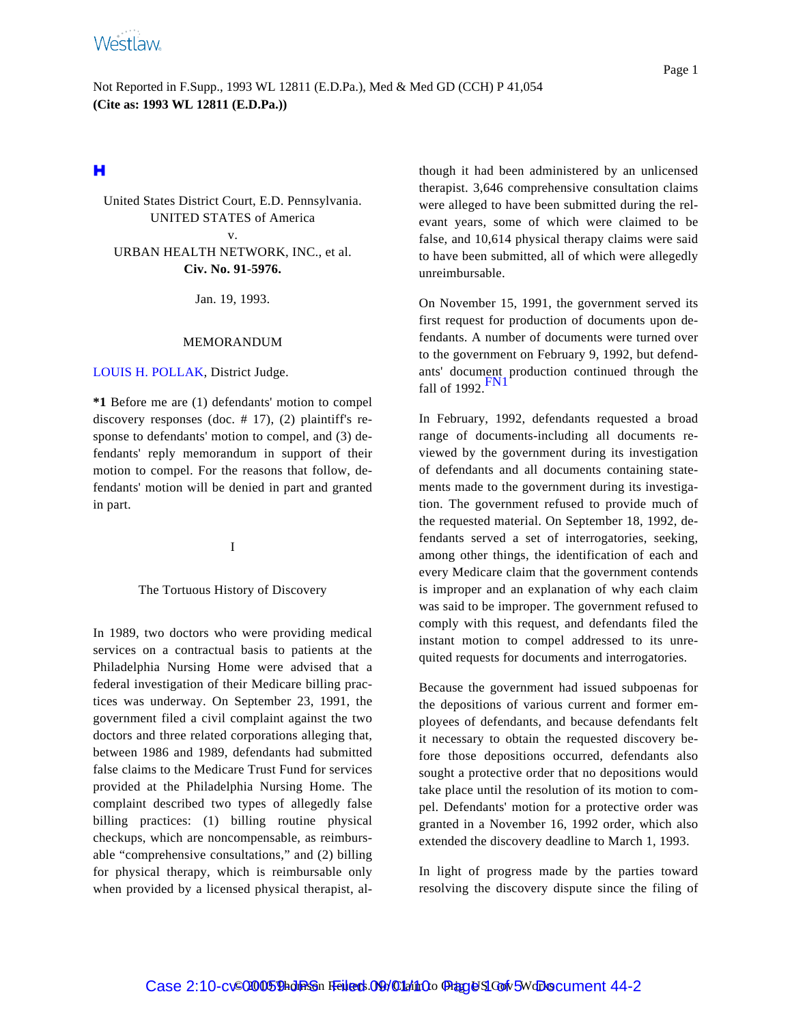

## н

United States District Court, E.D. Pennsylvania. UNITED STATES of America v. URBAN HEALTH NETWORK, INC., et al. **Civ. No. 91-5976.** 

Jan. 19, 1993.

### MEMORANDUM

#### <span id="page-19-0"></span>LOUIS H. POLLAK, District Judge.

**\*1** Before me are (1) defendants' motion to compel discovery responses (doc. # 17), (2) plaintiff's response to defendants' motion to compel, and (3) defendants' reply memorandum in support of their motion to compel. For the reasons that follow, defendants' motion will be denied in part and granted in part.

### I

#### The Tortuous History of Discovery

In 1989, two doctors who were providing medical services on a contractual basis to patients at the Philadelphia Nursing Home were advised that a federal investigation of their Medicare billing practices was underway. On September 23, 1991, the government filed a civil complaint against the two doctors and three related corporations alleging that, between 1986 and 1989, defendants had submitted false claims to the Medicare Trust Fund for services provided at the Philadelphia Nursing Home. The complaint described two types of allegedly false billing practices: (1) billing routine physical checkups, which are noncompensable, as reimbursable "comprehensive consultations," and (2) billing for physical therapy, which is reimbursable only when provided by a licensed physical therapist, al-

though it had been administered by an unlicensed therapist. 3,646 comprehensive consultation claims were alleged to have been submitted during the relevant years, some of which were claimed to be false, and 10,614 physical therapy claims were said to have been submitted, all of which were allegedly unreimbursable.

On November 15, 1991, the government served its first request for production of documents upon defendants. A number of documents were turned over to the government on February 9, 1992, but defendants' document production continued through the fall of 1992.  $\frac{FN1}{FN1}$  $\frac{FN1}{FN1}$  $\frac{FN1}{FN1}$ 

In February, 1992, defendants requested a broad range of documents-including all documents reviewed by the government during its investigation of defendants and all documents containing statements made to the government during its investigation. The government refused to provide much of the requested material. On September 18, 1992, defendants served a set of interrogatories, seeking, among other things, the identification of each and every Medicare claim that the government contends is improper and an explanation of why each claim was said to be improper. The government refused to comply with this request, and defendants filed the instant motion to compel addressed to its unrequited requests for documents and interrogatories.

Because the government had issued subpoenas for the depositions of various current and former employees of defendants, and because defendants felt it necessary to obtain the requested discovery before those depositions occurred, defendants also sought a protective order that no depositions would take place until the resolution of its motion to compel. Defendants' motion for a protective order was granted in a November 16, 1992 order, which also extended the discovery deadline to March 1, 1993.

In light of progress made by the parties toward resolving the discovery dispute since the filing of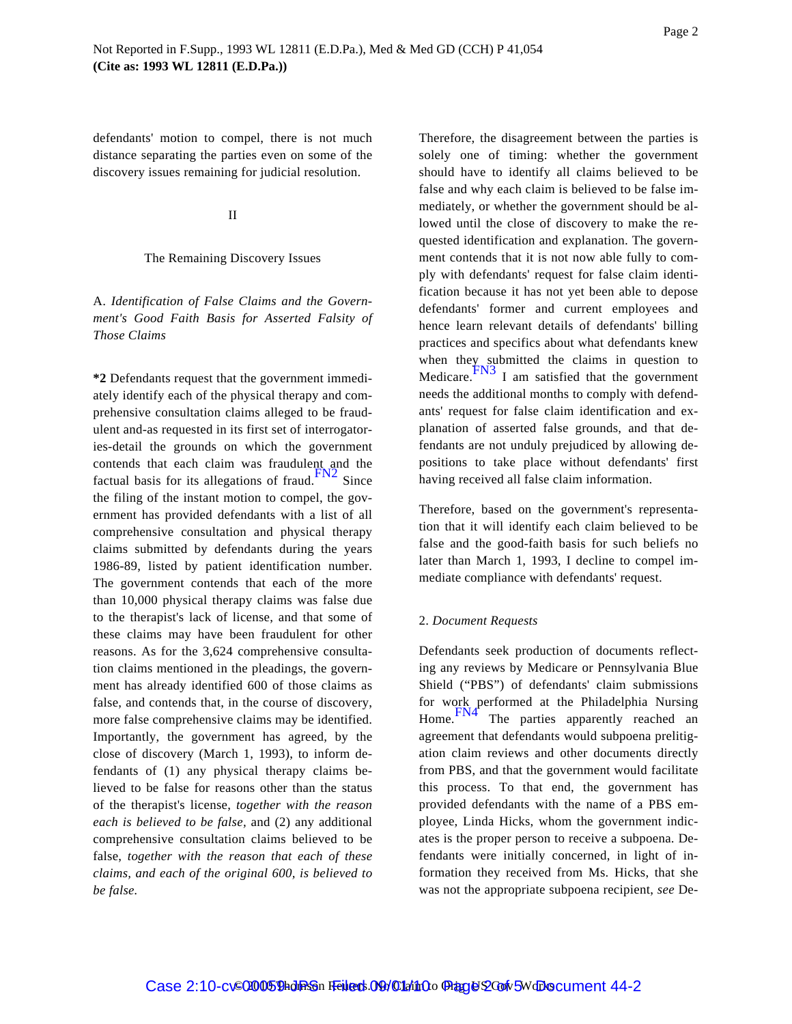defendants' motion to compel, there is not much distance separating the parties even on some of the discovery issues remaining for judicial resolution.

II

#### The Remaining Discovery Issues

A. *Identification of False Claims and the Government's Good Faith Basis for Asserted Falsity of Those Claims* 

<span id="page-20-2"></span><span id="page-20-1"></span><span id="page-20-0"></span>**\*2** Defendants request that the government immediately identify each of the physical therapy and comprehensive consultation claims alleged to be fraudulent and-as requested in its first set of interrogatories-detail the grounds on which the government contends that each claim was fraudulent and the factual basis for its allegations of fraud.  $\frac{FN2}{FN2}$  Since the filing of the instant motion to compel, the government has provided defendants with a list of all comprehensive consultation and physical therapy claims submitted by defendants during the years 1986-89, listed by patient identification number. The government contends that each of the more than 10,000 physical therapy claims was false due to the therapist's lack of license, and that some of these claims may have been fraudulent for other reasons. As for the 3,624 comprehensive consultation claims mentioned in the pleadings, the government has already identified 600 of those claims as false, and contends that, in the course of discovery, more false comprehensive claims may be identified. Importantly, the government has agreed, by the close of discovery (March 1, 1993), to inform defendants of (1) any physical therapy claims believed to be false for reasons other than the status of the therapist's license, *together with the reason each is believed to be false,* and (2) any additional comprehensive consultation claims believed to be false, *together with the reason that each of these claims, and each of the original 600, is believed to be false.* 

Therefore, the disagreement between the parties is solely one of timing: whether the government should have to identify all claims believed to be false and why each claim is believed to be false immediately, or whether the government should be allowed until the close of discovery to make the requested identification and explanation. The government contends that it is not now able fully to comply with defendants' request for false claim identification because it has not yet been able to depose defendants' former and current employees and hence learn relevant details of defendants' billing practices and specifics about what defendants knew when they submitted the claims in question to Medicare.  $\frac{FN3}{N}$  I am satisfied that the government needs the additional months to comply with defendants' request for false claim identification and explanation of asserted false grounds, and that defendants are not unduly prejudiced by allowing depositions to take place without defendants' first having received all false claim information.

Therefore, based on the government's representation that it will identify each claim believed to be false and the good-faith basis for such beliefs no later than March 1, 1993, I decline to compel immediate compliance with defendants' request.

### 2. *Document Requests*

Defendants seek production of documents reflecting any reviews by Medicare or Pennsylvania Blue Shield ("PBS") of defendants' claim submissions for work performed at the Philadelphia Nursing [Home. The](#page-22-3) parties apparently reached an agreement that defendants would subpoena prelitigation claim reviews and other documents directly from PBS, and that the government would facilitate this process. To that end, the government has provided defendants with the name of a PBS employee, Linda Hicks, whom the government indicates is the proper person to receive a subpoena. Defendants were initially concerned, in light of information they received from Ms. Hicks, that she was not the appropriate subpoena recipient, *see* De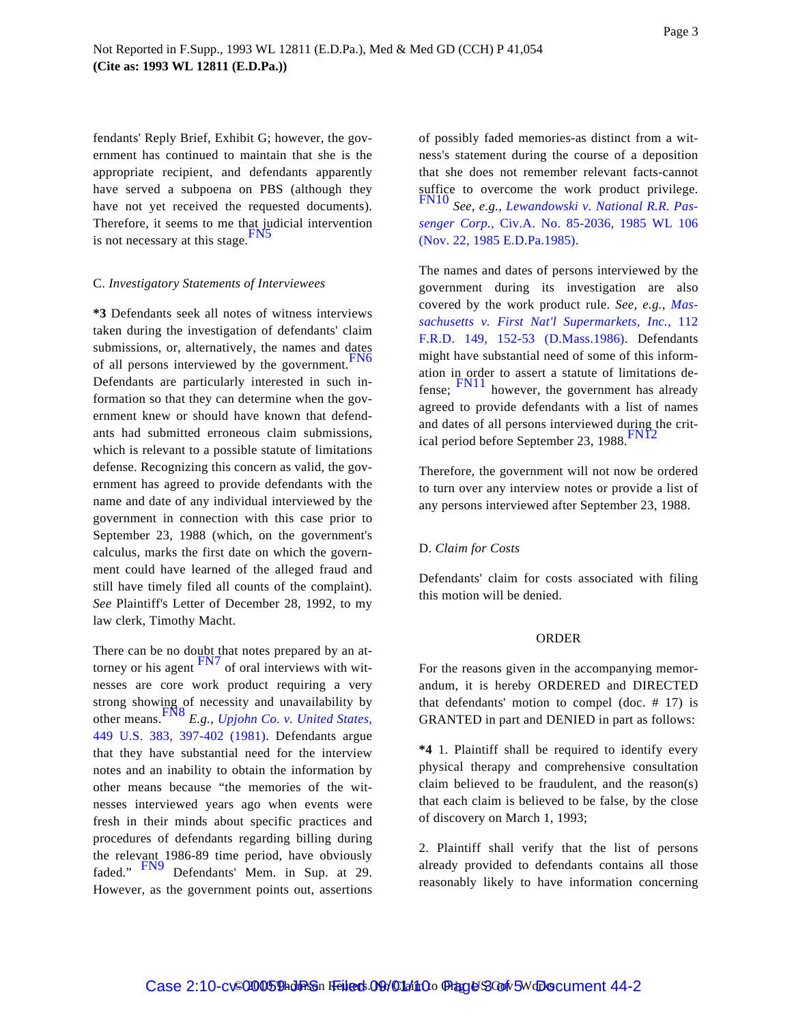<span id="page-21-5"></span>fendants' Reply Brief, Exhibit G; however, the government has continued to maintain that she is the appropriate recipient, and defendants apparently have served a subpoena on PBS (although they have not yet received the requested documents). Therefore, it seems to me that judicial intervention is not necessary at this stage.

#### <span id="page-21-0"></span>C. *Investigatory Statements of Interviewees*

<span id="page-21-7"></span><span id="page-21-6"></span><span id="page-21-1"></span>**\*3** Defendants seek all notes of witness interviews taken during the investigation of defendants' claim submissions, or, alternatively, the names and dates of all persons interviewed by the [government.](#page-22-5) Defendants are particularly interested in such information so that they can determine when the government knew or should have known that defendants had submitted erroneous claim submissions, which is relevant to a possible statute of limitations defense. Recognizing this concern as valid, the government has agreed to provide defendants with the name and date of any individual interviewed by the government in connection with this case prior to September 23, 1988 (which, on the government's calculus, marks the first date on which the government could have learned of the alleged fraud and still have timely filed all counts of the complaint). *See* Plaintiff's Letter of December 28, 1992, to my law clerk, Timothy Macht.

<span id="page-21-4"></span><span id="page-21-3"></span><span id="page-21-2"></span>Therecan be no doubt that notes prepared by an attorney or his agent  $\frac{FN7}{FN7}$  of oral interviews with witnesses are core work product requiring a very strong showing of necessity and unavailability by other means.  $\frac{FN8}{F}$  $\frac{FN8}{F}$  $\frac{FN8}{F}$  *E.g., Upjohn Co. v. United States,* 449 U.S. 383, 397-402 (1981). Defendants argue that they have substantial need for the interview notes and an inability to obtain the information by other means because "the memories of the witnesses interviewed years ago when events were fresh in their minds about specific practices and procedures of defendants regarding billing during the relevant 1986-89 time period, have obviously faded." FN9 Defendants' Mem. in Sup. at 29. However, as the government points out, assertions

of possibly faded memories-as distinct from a witness's statement during the course of a deposition that she does not remember relevant facts-cannot suffice to overcome the work product privilege. [FN10](#page-23-1) *See, e.g., Lewandowski v. National R.R. Passenger Corp.,* Civ.A. No. 85-2036, 1985 WL 106 (Nov. 22, 1985 E.D.Pa.1985).

The names and dates of persons interviewed by the government during its investigation are also covered by the work product rule. *See, e.g., Massachusetts v. First Nat'l Supermarkets, Inc.,* 112 F.R.D. 149, 152-53 (D.Mass.1986). Defendants might have substantial need of some of this information in order to assert a statute of limitations de-fense; $\frac{FN11}{}$  however, the government has alreadyagreed to provide defendants with a list of names and dates of all persons interviewed during the critical period before September 23[, 1988.](#page-23-3)

Therefore, the government will not now be ordered to turn over any interview notes or provide a list of any persons interviewed after September 23, 1988.

#### D. *Claim for Costs*

Defendants' claim for costs associated with filing this motion will be denied.

### ORDER

For the reasons given in the accompanying memorandum, it is hereby ORDERED and DIRECTED that defendants' motion to compel (doc. # 17) is GRANTED in part and DENIED in part as follows:

**\*4** 1. Plaintiff shall be required to identify every physical therapy and comprehensive consultation claim believed to be fraudulent, and the reason(s) that each claim is believed to be false, by the close of discovery on March 1, 1993;

2. Plaintiff shall verify that the list of persons already provided to defendants contains all those reasonably likely to have information concerning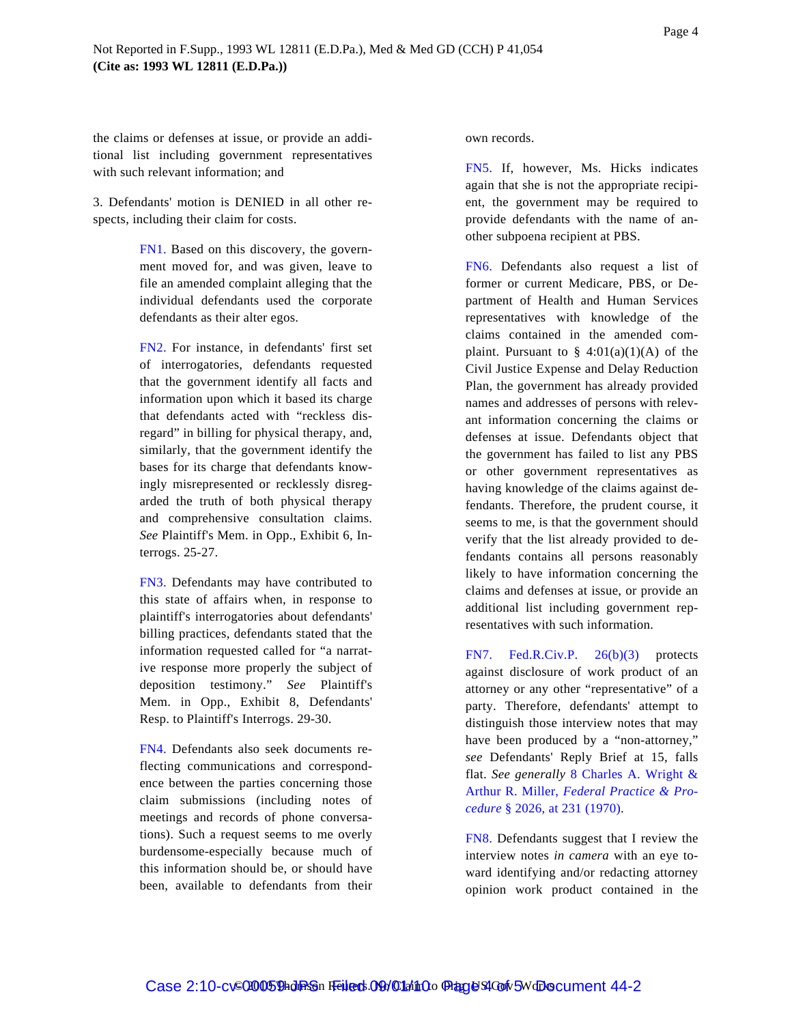<span id="page-22-4"></span>the claims or defenses at issue, or provide an additional list including government representatives with such relevant information; and

<span id="page-22-0"></span>3. Defendants' motion is DENIED in all other respects, including their claim for costs.

> <span id="page-22-5"></span>[FN1.](#page-19-0) Based on this discovery, the government moved for, and was given, leave to file an amended complaint alleging that the individual defendants used the corporate defendants as their alter egos.

> <span id="page-22-1"></span>[FN2.](#page-20-0) For instance, in defendants' first set of interrogatories, defendants requested that the government identify all facts and information upon which it based its charge that defendants acted with "reckless disregard" in billing for physical therapy, and, similarly, that the government identify the bases for its charge that defendants knowingly misrepresented or recklessly disregarded the truth of both physical therapy and comprehensive consultation claims. *See* Plaintiff's Mem. in Opp., Exhibit 6, Interrogs. 25-27.

> <span id="page-22-6"></span><span id="page-22-2"></span>[FN3.](#page-20-1) Defendants may have contributed to this state of affairs when, in response to plaintiff's interrogatories about defendants' billing practices, defendants stated that the information requested called for "a narrative response more properly the subject of deposition testimony." *See* Plaintiff's Mem. in Opp., Exhibit 8, Defendants' Resp. to Plaintiff's Interrogs. 29-30.

> <span id="page-22-7"></span><span id="page-22-3"></span>[FN4.](#page-20-2) Defendants also seek documents reflecting communications and correspondence between the parties concerning those claim submissions (including notes of meetings and records of phone conversations). Such a request seems to me overly burdensome-especially because much of this information should be, or should have been, available to defendants from their

own records.

[FN5.](#page-21-0) If, however, Ms. Hicks indicates again that she is not the appropriate recipient, the government may be required to provide defendants with the name of another subpoena recipient at PBS.

[FN6.](#page-21-1) Defendants also request a list of former or current Medicare, PBS, or Department of Health and Human Services representatives with knowledge of the claims contained in the amended complaint. Pursuant to  $\S$  4:01(a)(1)(A) of the Civil Justice Expense and Delay Reduction Plan, the government has already provided names and addresses of persons with relevant information concerning the claims or defenses at issue. Defendants object that the government has failed to list any PBS or other government representatives as having knowledge of the claims against defendants. Therefore, the prudent course, it seems to me, is that the government should verify that the list already provided to defendants contains all persons reasonably likely to have information concerning the claims and defenses at issue, or provide an additional list including government representatives with such information.

[FN7.](#page-21-2) Fed.R.Civ.P. 26(b)(3) protects against disclosure of work product of an attorney or any other "representative" of a party. Therefore, defendants' attempt to distinguish those interview notes that may have been produced by a "non-attorney," *see* Defendants' Reply Brief at 15, falls flat. *See generally* 8 Charles A. Wright & Arthur R. Miller, *Federal Practice & Procedure* § 2026, at 231 (1970).

[FN8.](#page-21-3) Defendants suggest that I review the interview notes *in camera* with an eye toward identifying and/or redacting attorney opinion work product contained in the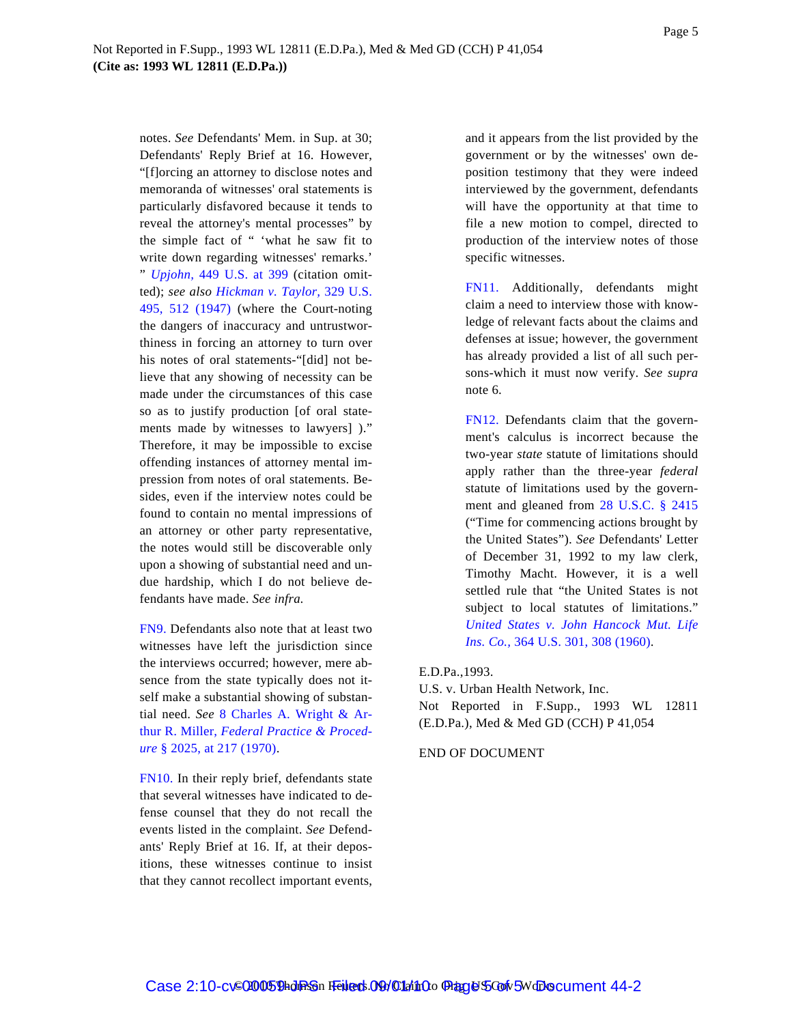<span id="page-23-2"></span>notes. *See* Defendants' Mem. in Sup. at 30; Defendants' Reply Brief at 16. However, "[f]orcing an attorney to disclose notes and memoranda of witnesses' oral statements is particularly disfavored because it tends to reveal the attorney's mental processes" by the simple fact of " 'what he saw fit to write down regarding witnesses' remarks.' " *Upjohn,* 449 U.S. at 399 (citation omitted); *see also Hickman v. Taylor,* 329 U.S. 495, 512 (1947) (where the Court-noting the dangers of inaccuracy and untrustworthiness in forcing an attorney to turn over his notes of oral statements-"[did] not believe that any showing of necessity can be made under the circumstances of this case so as to justify production [of oral statements made by witnesses to lawyers] )." Therefore, it may be impossible to excise offending instances of attorney mental impression from notes of oral statements. Besides, even if the interview notes could be found to contain no mental impressions of an attorney or other party representative, the notes would still be discoverable only upon a showing of substantial need and undue hardship, which I do not believe defendants have made. *See infra.* 

<span id="page-23-3"></span><span id="page-23-0"></span>[FN9.](#page-21-4) Defendants also note that at least two witnesses have left the jurisdiction since the interviews occurred; however, mere absence from the state typically does not itself make a substantial showing of substantial need. *See* 8 Charles A. Wright & Arthur R. Miller, *Federal Practice & Procedure* § 2025, at 217 (1970).

<span id="page-23-1"></span>[FN10.](#page-21-5) In their reply brief, defendants state that several witnesses have indicated to defense counsel that they do not recall the events listed in the complaint. *See* Defendants' Reply Brief at 16. If, at their depositions, these witnesses continue to insist that they cannot recollect important events,

and it appears from the list provided by the government or by the witnesses' own deposition testimony that they were indeed interviewed by the government, defendants will have the opportunity at that time to file a new motion to compel, directed to production of the interview notes of those specific witnesses.

[FN11.](#page-21-6) Additionally, defendants might claim a need to interview those with knowledge of relevant facts about the claims and defenses at issue; however, the government has already provided a list of all such persons-which it must now verify. *See supra*  note 6.

[FN12.](#page-21-7) Defendants claim that the government's calculus is incorrect because the two-year *state* statute of limitations should apply rather than the three-year *federal*  statute of limitations used by the government and gleaned from 28 U.S.C. § 2415 ("Time for commencing actions brought by the United States"). *See* Defendants' Letter of December 31, 1992 to my law clerk, Timothy Macht. However, it is a well settled rule that "the United States is not subject to local statutes of limitations." *United States v. John Hancock Mut. Life Ins. Co.,* 364 U.S. 301, 308 (1960).

### E.D.Pa.,1993.

U.S. v. Urban Health Network, Inc. Not Reported in F.Supp., 1993 WL 12811 (E.D.Pa.), Med & Med GD (CCH) P 41,054

END OF DOCUMENT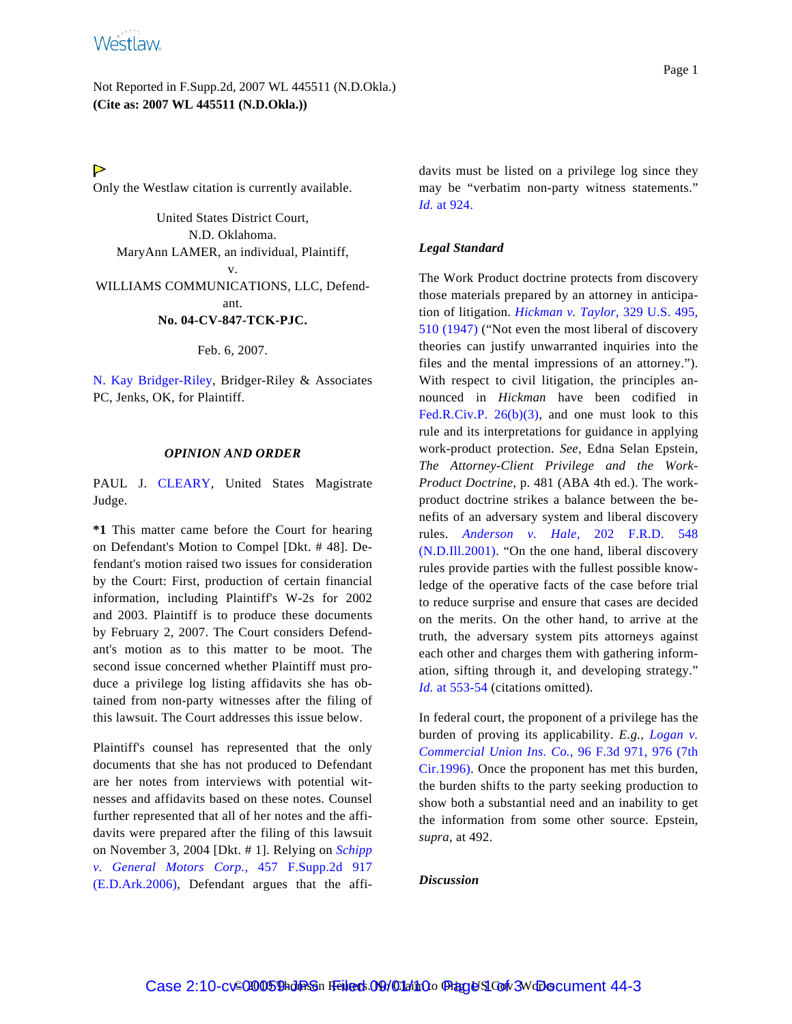Not Reported in F.Supp.2d, 2007 WL 445511 (N.D.Okla.) **(Cite as: 2007 WL 445511 (N.D.Okla.))** 

# $\triangleright$

Only the Westlaw citation is currently available.

United States District Court, N.D. Oklahoma. MaryAnn LAMER, an individual, Plaintiff, v. WILLIAMS COMMUNICATIONS, LLC, Defendant. **No. 04-CV-847-TCK-PJC.** 

Feb. 6, 2007.

N. Kay Bridger-Riley, Bridger-Riley & Associates PC, Jenks, OK, for Plaintiff.

#### *OPINION AND ORDER*

PAUL J. CLEARY, United States Magistrate Judge.

**\*1** This matter came before the Court for hearing on Defendant's Motion to Compel [Dkt. # 48]. Defendant's motion raised two issues for consideration by the Court: First, production of certain financial information, including Plaintiff's W-2s for 2002 and 2003. Plaintiff is to produce these documents by February 2, 2007. The Court considers Defendant's motion as to this matter to be moot. The second issue concerned whether Plaintiff must produce a privilege log listing affidavits she has obtained from non-party witnesses after the filing of this lawsuit. The Court addresses this issue below.

Plaintiff's counsel has represented that the only documents that she has not produced to Defendant are her notes from interviews with potential witnesses and affidavits based on these notes. Counsel further represented that all of her notes and the affidavits were prepared after the filing of this lawsuit on November 3, 2004 [Dkt. # 1]. Relying on *Schipp v. General Motors Corp.,* 457 F.Supp.2d 917 (E.D.Ark.2006), Defendant argues that the affidavits must be listed on a privilege log since they may be "verbatim non-party witness statements." *Id.* at 924.

#### *Legal Standard*

The Work Product doctrine protects from discovery those materials prepared by an attorney in anticipation of litigation. *Hickman v. Taylor,* 329 U.S. 495, 510 (1947) ("Not even the most liberal of discovery theories can justify unwarranted inquiries into the files and the mental impressions of an attorney."). With respect to civil litigation, the principles announced in *Hickman* have been codified in Fed.R.Civ.P.  $26(b)(3)$ , and one must look to this rule and its interpretations for guidance in applying work-product protection. *See,* Edna Selan Epstein, *The Attorney-Client Privilege and the Work-Product Doctrine,* p. 481 (ABA 4th ed.). The workproduct doctrine strikes a balance between the benefits of an adversary system and liberal discovery rules. *Anderson v. Hale,* 202 F.R.D. 548 (N.D.Ill.2001). "On the one hand, liberal discovery rules provide parties with the fullest possible knowledge of the operative facts of the case before trial to reduce surprise and ensure that cases are decided on the merits. On the other hand, to arrive at the truth, the adversary system pits attorneys against each other and charges them with gathering information, sifting through it, and developing strategy." *Id.* at 553-54 (citations omitted).

In federal court, the proponent of a privilege has the burden of proving its applicability. *E.g., Logan v. Commercial Union Ins. Co.,* 96 F.3d 971, 976 (7th Cir.1996). Once the proponent has met this burden, the burden shifts to the party seeking production to show both a substantial need and an inability to get the information from some other source. Epstein, *supra,* at 492.

## *Discussion*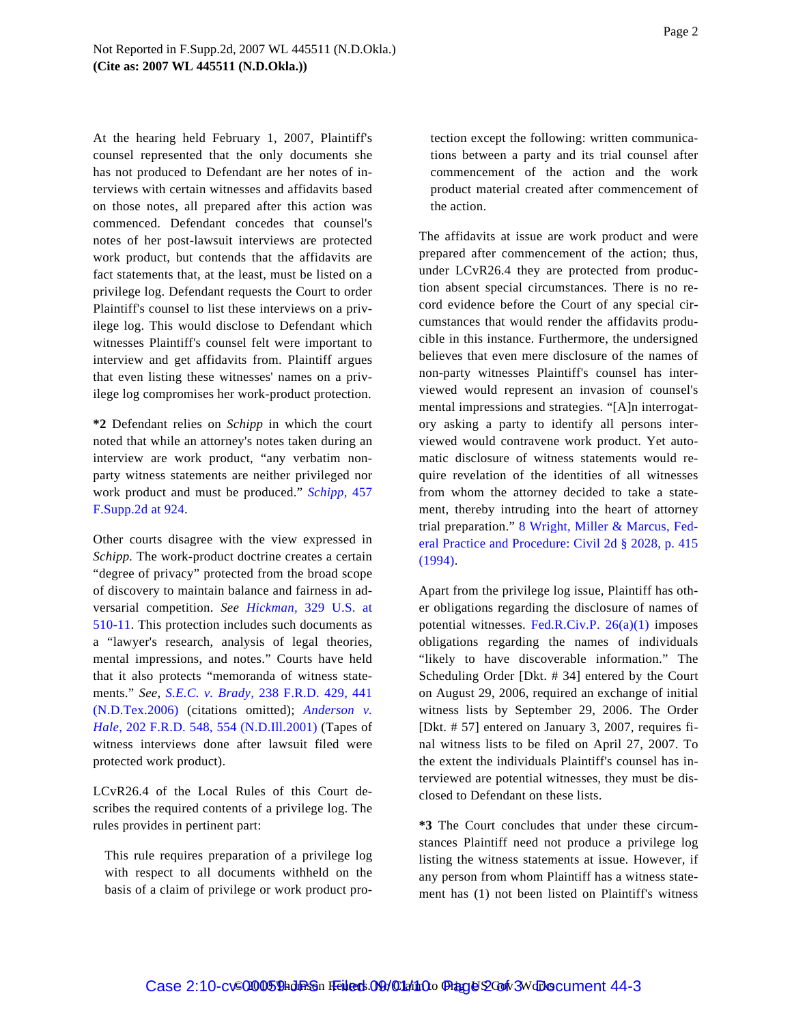At the hearing held February 1, 2007, Plaintiff's counsel represented that the only documents she has not produced to Defendant are her notes of interviews with certain witnesses and affidavits based on those notes, all prepared after this action was commenced. Defendant concedes that counsel's notes of her post-lawsuit interviews are protected work product, but contends that the affidavits are fact statements that, at the least, must be listed on a privilege log. Defendant requests the Court to order Plaintiff's counsel to list these interviews on a privilege log. This would disclose to Defendant which witnesses Plaintiff's counsel felt were important to interview and get affidavits from. Plaintiff argues that even listing these witnesses' names on a privilege log compromises her work-product protection.

**\*2** Defendant relies on *Schipp* in which the court noted that while an attorney's notes taken during an interview are work product, "any verbatim nonparty witness statements are neither privileged nor work product and must be produced." *Schipp,* 457 F.Supp.2d at 924.

Other courts disagree with the view expressed in *Schipp.* The work-product doctrine creates a certain "degree of privacy" protected from the broad scope of discovery to maintain balance and fairness in adversarial competition. *See Hickman,* 329 U.S. at 510-11. This protection includes such documents as a "lawyer's research, analysis of legal theories, mental impressions, and notes." Courts have held that it also protects "memoranda of witness statements." *See, S.E.C. v. Brady,* 238 F.R.D. 429, 441 (N.D.Tex.2006) (citations omitted); *Anderson v. Hale,* 202 F.R.D. 548, 554 (N.D.Ill.2001) (Tapes of witness interviews done after lawsuit filed were protected work product).

LCvR26.4 of the Local Rules of this Court describes the required contents of a privilege log. The rules provides in pertinent part:

This rule requires preparation of a privilege log with respect to all documents withheld on the basis of a claim of privilege or work product protection except the following: written communications between a party and its trial counsel after commencement of the action and the work product material created after commencement of the action.

The affidavits at issue are work product and were prepared after commencement of the action; thus, under LCvR26.4 they are protected from production absent special circumstances. There is no record evidence before the Court of any special circumstances that would render the affidavits producible in this instance. Furthermore, the undersigned believes that even mere disclosure of the names of non-party witnesses Plaintiff's counsel has interviewed would represent an invasion of counsel's mental impressions and strategies. "[A]n interrogatory asking a party to identify all persons interviewed would contravene work product. Yet automatic disclosure of witness statements would require revelation of the identities of all witnesses from whom the attorney decided to take a statement, thereby intruding into the heart of attorney trial preparation." 8 Wright, Miller & Marcus, Federal Practice and Procedure: Civil 2d § 2028, p. 415 (1994).

Apart from the privilege log issue, Plaintiff has other obligations regarding the disclosure of names of potential witnesses. Fed.R.Civ.P. 26(a)(1) imposes obligations regarding the names of individuals "likely to have discoverable information." The Scheduling Order [Dkt. # 34] entered by the Court on August 29, 2006, required an exchange of initial witness lists by September 29, 2006. The Order [Dkt. # 57] entered on January 3, 2007, requires final witness lists to be filed on April 27, 2007. To the extent the individuals Plaintiff's counsel has interviewed are potential witnesses, they must be disclosed to Defendant on these lists.

**\*3** The Court concludes that under these circumstances Plaintiff need not produce a privilege log listing the witness statements at issue. However, if any person from whom Plaintiff has a witness statement has (1) not been listed on Plaintiff's witness